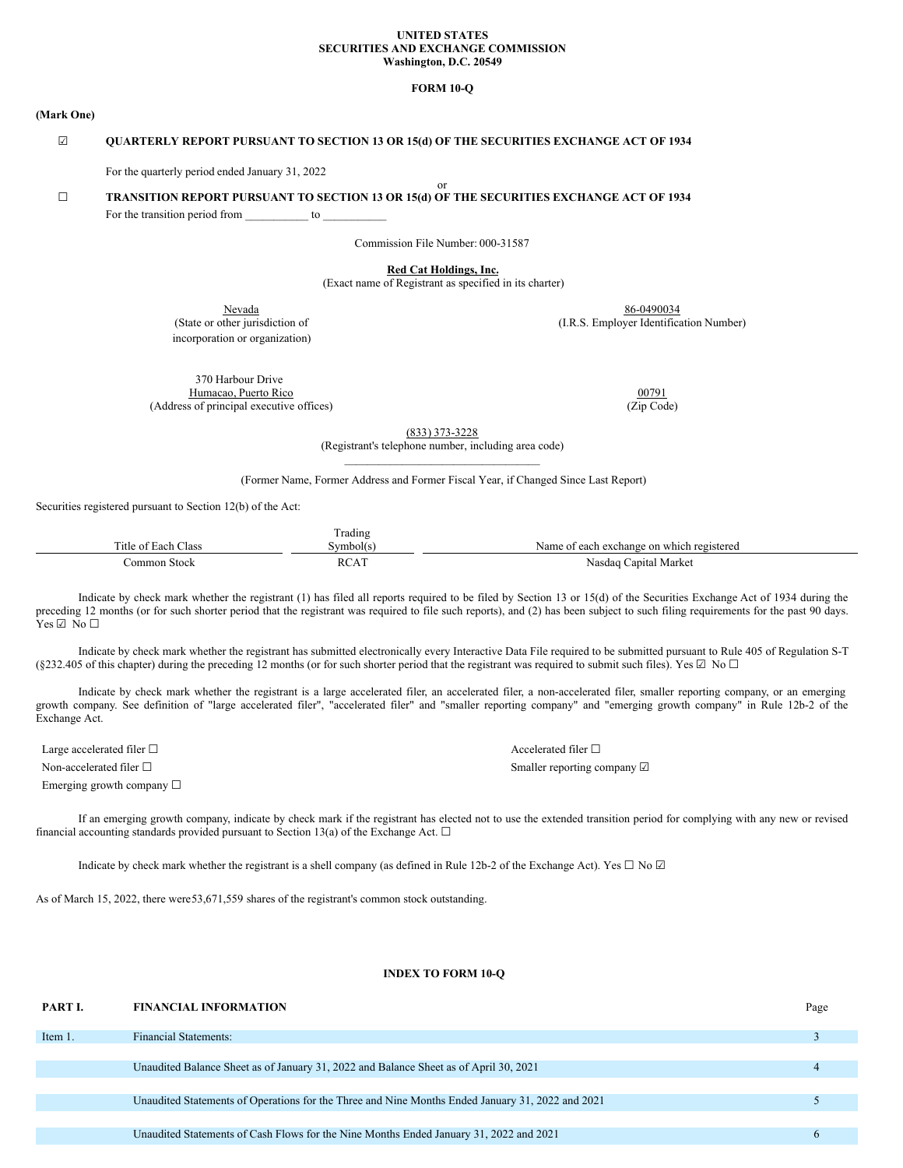#### **UNITED STATES SECURITIES AND EXCHANGE COMMISSION Washington, D.C. 20549**

## **FORM 10-Q**

#### **(Mark One)**

## ☑ **QUARTERLY REPORT PURSUANT TO SECTION 13 OR 15(d) OF THE SECURITIES EXCHANGE ACT OF 1934**

For the quarterly period ended January 31, 2022

#### or ☐ **TRANSITION REPORT PURSUANT TO SECTION 13 OR 15(d) OF THE SECURITIES EXCHANGE ACT OF 1934**

For the transition period from to  $\sim$ 

Commission File Number: 000-31587

**Red Cat Holdings, Inc.**

(Exact name of Registrant as specified in its charter)

incorporation or organization)

Nevada 86-0490034 (State or other jurisdiction of (I.R.S. Employer Identification Number)

370 Harbour Drive Humacao, Puerto Rico 00791 (Address of principal executive offices) (Zip Code)

(833) 373-3228

(Registrant's telephone number, including area code)  $\mathcal{L}_\text{max}$ 

(Former Name, Former Address and Former Fiscal Year, if Changed Since Last Report)

Securities registered pursuant to Section 12(b) of the Act:

|                     | Trading     |                                           |
|---------------------|-------------|-------------------------------------------|
| Title of Each Class | Svmbol(s)   | Name of each exchange on which registered |
| Common Stock        | <b>RCAT</b> | Nasdaq Capital Market                     |

Indicate by check mark whether the registrant (1) has filed all reports required to be filed by Section 13 or 15(d) of the Securities Exchange Act of 1934 during the preceding 12 months (or for such shorter period that the registrant was required to file such reports), and (2) has been subject to such filing requirements for the past 90 days.  $Yes \boxtimes No \square$ 

Indicate by check mark whether the registrant has submitted electronically every Interactive Data File required to be submitted pursuant to Rule 405 of Regulation S-T (§232.405 of this chapter) during the preceding 12 months (or for such shorter period that the registrant was required to submit such files). Yes  $\boxtimes$  No  $\Box$ 

Indicate by check mark whether the registrant is a large accelerated filer, an accelerated filer, a non-accelerated filer, smaller reporting company, or an emerging growth company. See definition of "large accelerated filer", "accelerated filer" and "smaller reporting company" and "emerging growth company" in Rule 12b-2 of the Exchange Act.

Large accelerated filer □ and set of leads and set of leads and a set of leads and a set of leads and a set of leads and a set of leads and a set of leads and a set of leads and a set of leads and a set of leads and a set

Emerging growth company ☐

Non-accelerated filer □ Smaller reporting company ☑ Smaller reporting company ☑

If an emerging growth company, indicate by check mark if the registrant has elected not to use the extended transition period for complying with any new or revised financial accounting standards provided pursuant to Section 13(a) of the Exchange Act.  $\Box$ 

Indicate by check mark whether the registrant is a shell company (as defined in Rule 12b-2 of the Exchange Act). Yes  $\Box$  No  $\Box$ 

As of March 15, 2022, there were53,671,559 shares of the registrant's common stock outstanding.

## **INDEX TO FORM 10-Q**

| PART I. | <b>FINANCIAL INFORMATION</b>                                                                     | Page |
|---------|--------------------------------------------------------------------------------------------------|------|
| Item 1. | <b>Financial Statements:</b>                                                                     |      |
|         |                                                                                                  |      |
|         | Unaudited Balance Sheet as of January 31, 2022 and Balance Sheet as of April 30, 2021            |      |
|         |                                                                                                  |      |
|         | Unaudited Statements of Operations for the Three and Nine Months Ended January 31, 2022 and 2021 |      |
|         |                                                                                                  |      |
|         | Unaudited Statements of Cash Flows for the Nine Months Ended January 31, 2022 and 2021           |      |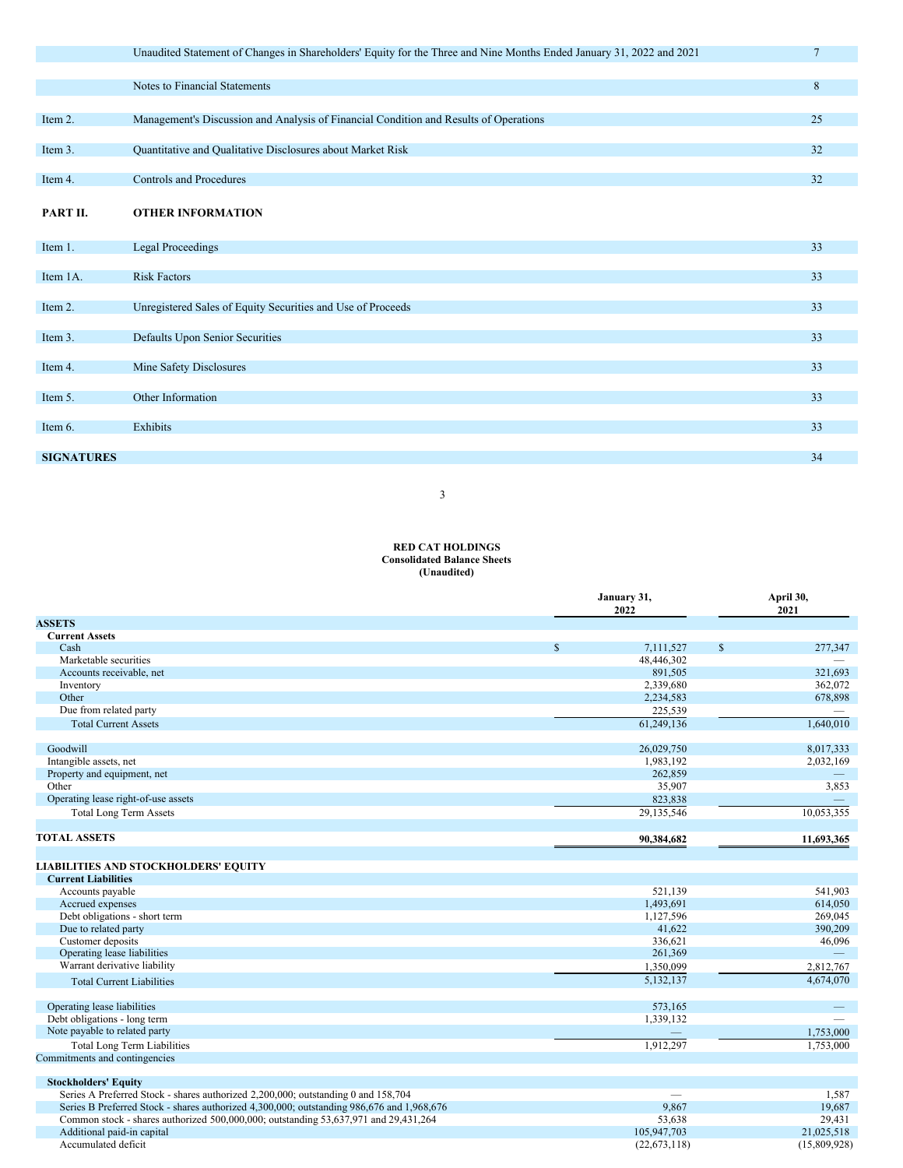|                   | Unaudited Statement of Changes in Shareholders' Equity for the Three and Nine Months Ended January 31, 2022 and 2021 | $\overline{7}$ |
|-------------------|----------------------------------------------------------------------------------------------------------------------|----------------|
|                   |                                                                                                                      |                |
|                   | Notes to Financial Statements                                                                                        | 8              |
|                   |                                                                                                                      |                |
| Item 2.           | Management's Discussion and Analysis of Financial Condition and Results of Operations                                | 25             |
|                   |                                                                                                                      |                |
| Item 3.           | Quantitative and Qualitative Disclosures about Market Risk                                                           | 32             |
| Item 4.           | <b>Controls and Procedures</b>                                                                                       | 32             |
|                   |                                                                                                                      |                |
| PART II.          | <b>OTHER INFORMATION</b>                                                                                             |                |
|                   |                                                                                                                      |                |
| Item 1.           | <b>Legal Proceedings</b>                                                                                             | 33             |
| Item 1A.          | <b>Risk Factors</b>                                                                                                  | 33             |
|                   |                                                                                                                      |                |
| Item 2.           | Unregistered Sales of Equity Securities and Use of Proceeds                                                          | 33             |
|                   |                                                                                                                      |                |
| Item 3.           | Defaults Upon Senior Securities                                                                                      | 33             |
| Item 4.           | Mine Safety Disclosures                                                                                              | 33             |
|                   |                                                                                                                      |                |
| Item 5.           | Other Information                                                                                                    | 33             |
|                   |                                                                                                                      |                |
| Item 6.           | Exhibits                                                                                                             | 33             |
|                   |                                                                                                                      |                |
| <b>SIGNATURES</b> |                                                                                                                      | 34             |

3

#### **RED CAT HOLDINGS Consolidated Balance Sheets (Unaudited)**

|                                                                                           |              | January 31,<br>2022 | April 30,<br>2021 |  |
|-------------------------------------------------------------------------------------------|--------------|---------------------|-------------------|--|
| <b>ASSETS</b>                                                                             |              |                     |                   |  |
| <b>Current Assets</b>                                                                     |              |                     |                   |  |
| Cash                                                                                      | $\mathbb{S}$ | 7,111,527           | \$<br>277,347     |  |
| Marketable securities                                                                     |              | 48,446,302          |                   |  |
| Accounts receivable, net                                                                  |              | 891,505             | 321,693           |  |
| Inventory                                                                                 |              | 2,339,680           | 362,072           |  |
| Other                                                                                     |              | 2,234,583           | 678,898           |  |
| Due from related party                                                                    |              | 225,539             |                   |  |
| <b>Total Current Assets</b>                                                               |              | 61,249,136          | 1,640,010         |  |
| Goodwill                                                                                  |              | 26,029,750          | 8,017,333         |  |
| Intangible assets, net                                                                    |              | 1,983,192           | 2,032,169         |  |
| Property and equipment, net                                                               |              | 262,859             |                   |  |
| Other                                                                                     |              | 35,907              | 3,853             |  |
| Operating lease right-of-use assets                                                       |              | 823,838             |                   |  |
| <b>Total Long Term Assets</b>                                                             |              | 29,135,546          | 10,053,355        |  |
| <b>TOTAL ASSETS</b>                                                                       |              | 90,384,682          | 11,693,365        |  |
| <b>LIABILITIES AND STOCKHOLDERS' EQUITY</b>                                               |              |                     |                   |  |
| <b>Current Liabilities</b>                                                                |              |                     |                   |  |
| Accounts payable                                                                          |              | 521,139             | 541,903           |  |
| Accrued expenses                                                                          |              | 1,493,691           | 614,050           |  |
| Debt obligations - short term                                                             |              | 1,127,596           | 269,045           |  |
| Due to related party                                                                      |              | 41,622              | 390,209           |  |
| Customer deposits                                                                         |              | 336,621             | 46,096            |  |
| Operating lease liabilities                                                               |              | 261,369             |                   |  |
| Warrant derivative liability                                                              |              | 1,350,099           | 2,812,767         |  |
| <b>Total Current Liabilities</b>                                                          |              | 5,132,137           | 4,674,070         |  |
| Operating lease liabilities                                                               |              | 573,165             |                   |  |
| Debt obligations - long term                                                              |              | 1,339,132           |                   |  |
| Note payable to related party                                                             |              |                     | 1,753,000         |  |
| <b>Total Long Term Liabilities</b>                                                        |              | 1,912,297           | 1,753,000         |  |
| Commitments and contingencies                                                             |              |                     |                   |  |
| <b>Stockholders' Equity</b>                                                               |              |                     |                   |  |
| Series A Preferred Stock - shares authorized 2,200,000; outstanding 0 and 158,704         |              |                     | 1,587             |  |
| Series B Preferred Stock - shares authorized 4,300,000; outstanding 986,676 and 1,968,676 |              | 9,867               | 19,687            |  |
| Common stock - shares authorized 500,000,000; outstanding 53,637,971 and 29,431,264       |              | 53,638              | 29,431            |  |
| Additional paid-in capital                                                                |              | 105,947,703         | 21,025,518        |  |
| Accumulated deficit                                                                       |              | (22,673,118)        | (15,809,928)      |  |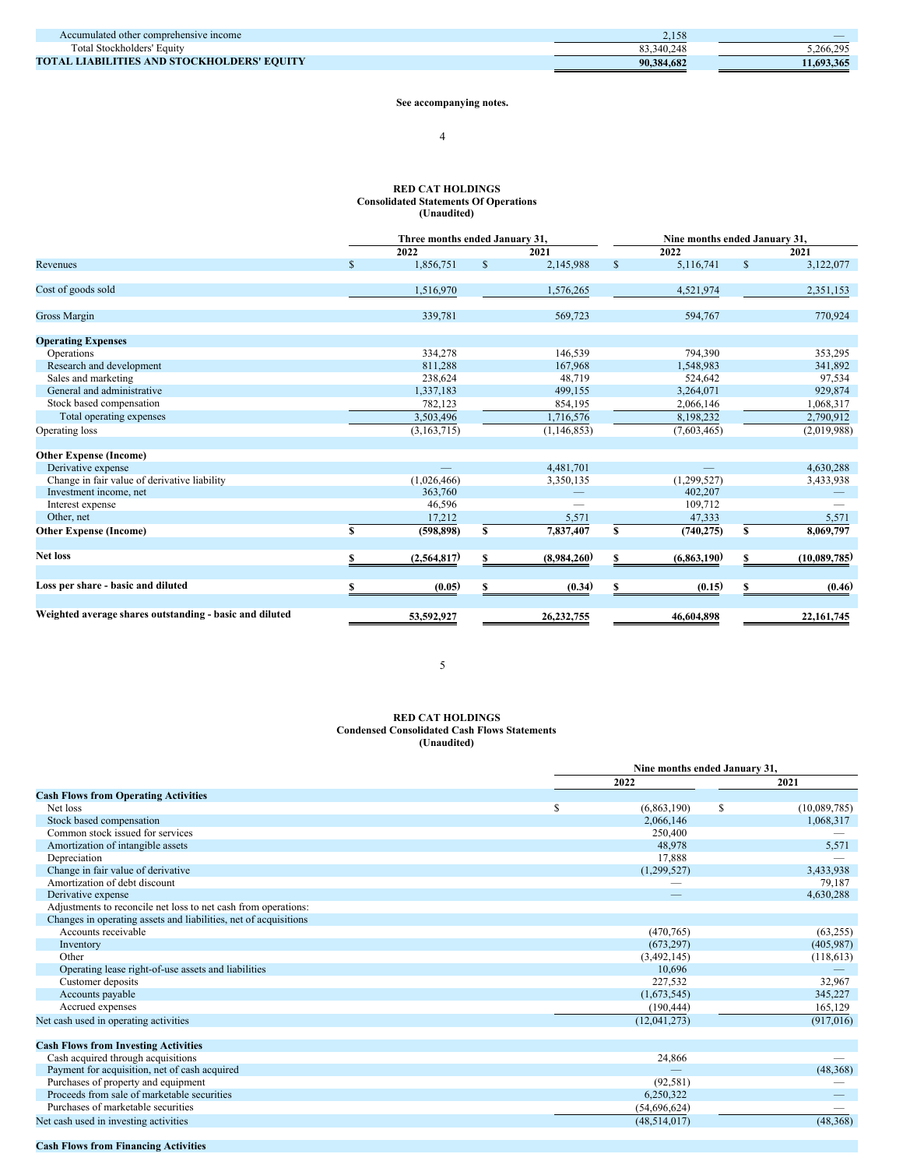| Accumulated other comprehensive income     | 2,100      |           |
|--------------------------------------------|------------|-----------|
| Total Stockholders' Equity                 |            | 5.266.295 |
| TOTAL LIABILITIES AND STOCKHOLDERS' EOUITY | 90.384.682 | 1.693.365 |

**See accompanying notes.**

## 4

#### **RED CAT HOLDINGS Consolidated Statements Of Operations (Unaudited)**

|                                                         |              |             |    | Three months ended January 31,<br>Nine months ended January 31, |    |             |              |              |  |
|---------------------------------------------------------|--------------|-------------|----|-----------------------------------------------------------------|----|-------------|--------------|--------------|--|
|                                                         |              | 2022        |    | 2021                                                            |    | 2022        |              | 2021         |  |
| Revenues                                                | $\mathbb{S}$ | 1,856,751   | \$ | 2,145,988                                                       | \$ | 5,116,741   | $\mathbb{S}$ | 3,122,077    |  |
| Cost of goods sold                                      |              | 1,516,970   |    | 1,576,265                                                       |    | 4,521,974   |              | 2,351,153    |  |
| <b>Gross Margin</b>                                     |              | 339,781     |    | 569,723                                                         |    | 594,767     |              | 770,924      |  |
| <b>Operating Expenses</b>                               |              |             |    |                                                                 |    |             |              |              |  |
| Operations                                              |              | 334,278     |    | 146.539                                                         |    | 794.390     |              | 353,295      |  |
| Research and development                                |              | 811,288     |    | 167,968                                                         |    | 1,548,983   |              | 341,892      |  |
| Sales and marketing                                     |              | 238,624     |    | 48,719                                                          |    | 524,642     |              | 97,534       |  |
| General and administrative                              |              | 1,337,183   |    | 499,155                                                         |    | 3,264,071   |              | 929,874      |  |
| Stock based compensation                                |              | 782,123     |    | 854,195                                                         |    | 2,066,146   |              | 1,068,317    |  |
| Total operating expenses                                |              | 3,503,496   |    | 1,716,576                                                       |    | 8,198,232   |              | 2,790,912    |  |
| Operating loss                                          |              | (3,163,715) |    | (1, 146, 853)                                                   |    | (7,603,465) |              | (2,019,988)  |  |
| <b>Other Expense (Income)</b>                           |              |             |    |                                                                 |    |             |              |              |  |
| Derivative expense                                      |              |             |    | 4,481,701                                                       |    |             |              | 4,630,288    |  |
| Change in fair value of derivative liability            |              | (1,026,466) |    | 3,350,135                                                       |    | (1,299,527) |              | 3,433,938    |  |
| Investment income, net                                  |              | 363,760     |    |                                                                 |    | 402,207     |              |              |  |
| Interest expense                                        |              | 46,596      |    |                                                                 |    | 109,712     |              |              |  |
| Other, net                                              |              | 17,212      |    | 5,571                                                           |    | 47,333      |              | 5,571        |  |
| <b>Other Expense (Income)</b>                           | S            | (598, 898)  | S  | 7,837,407                                                       | S  | (740, 275)  | S            | 8,069,797    |  |
| <b>Net loss</b>                                         | S.           | (2,564,817) | S  | (8,984,260)                                                     | S  | (6,863,190) | S.           | (10,089,785) |  |
|                                                         |              |             |    |                                                                 |    |             |              |              |  |
| Loss per share - basic and diluted                      |              | (0.05)      | S  | (0.34)                                                          | \$ | (0.15)      |              | (0.46)       |  |
| Weighted average shares outstanding - basic and diluted |              | 53,592,927  |    | 26,232,755                                                      |    | 46,604,898  |              | 22, 161, 745 |  |

5

## **RED CAT HOLDINGS Condensed Consolidated Cash Flows Statements (Unaudited)**

|                                                                  |   | Nine months ended January 31, |    |              |
|------------------------------------------------------------------|---|-------------------------------|----|--------------|
|                                                                  |   | 2022                          |    | 2021         |
| <b>Cash Flows from Operating Activities</b>                      |   |                               |    |              |
| Net loss                                                         | S | (6,863,190)                   | \$ | (10,089,785) |
| Stock based compensation                                         |   | 2,066,146                     |    | 1,068,317    |
| Common stock issued for services                                 |   | 250,400                       |    |              |
| Amortization of intangible assets                                |   | 48,978                        |    | 5,571        |
| Depreciation                                                     |   | 17,888                        |    |              |
| Change in fair value of derivative                               |   | (1,299,527)                   |    | 3,433,938    |
| Amortization of debt discount                                    |   | --                            |    | 79,187       |
| Derivative expense                                               |   |                               |    | 4,630,288    |
| Adjustments to reconcile net loss to net cash from operations:   |   |                               |    |              |
| Changes in operating assets and liabilities, net of acquisitions |   |                               |    |              |
| Accounts receivable                                              |   | (470, 765)                    |    | (63, 255)    |
| Inventory                                                        |   | (673, 297)                    |    | (405, 987)   |
| Other                                                            |   | (3,492,145)                   |    | (118, 613)   |
| Operating lease right-of-use assets and liabilities              |   | 10,696                        |    |              |
| Customer deposits                                                |   | 227,532                       |    | 32,967       |
| Accounts payable                                                 |   | (1,673,545)                   |    | 345,227      |
| Accrued expenses                                                 |   | (190, 444)                    |    | 165,129      |
| Net cash used in operating activities                            |   | (12,041,273)                  |    | (917, 016)   |
|                                                                  |   |                               |    |              |
| <b>Cash Flows from Investing Activities</b>                      |   |                               |    |              |
| Cash acquired through acquisitions                               |   | 24,866                        |    |              |
| Payment for acquisition, net of cash acquired                    |   |                               |    | (48, 368)    |
| Purchases of property and equipment                              |   | (92, 581)                     |    |              |
| Proceeds from sale of marketable securities                      |   | 6,250,322                     |    |              |
| Purchases of marketable securities                               |   | (54,696,624)                  |    |              |
| Net cash used in investing activities                            |   | (48, 514, 017)                |    | (48, 368)    |

# **Cash Flows from Financing Activities**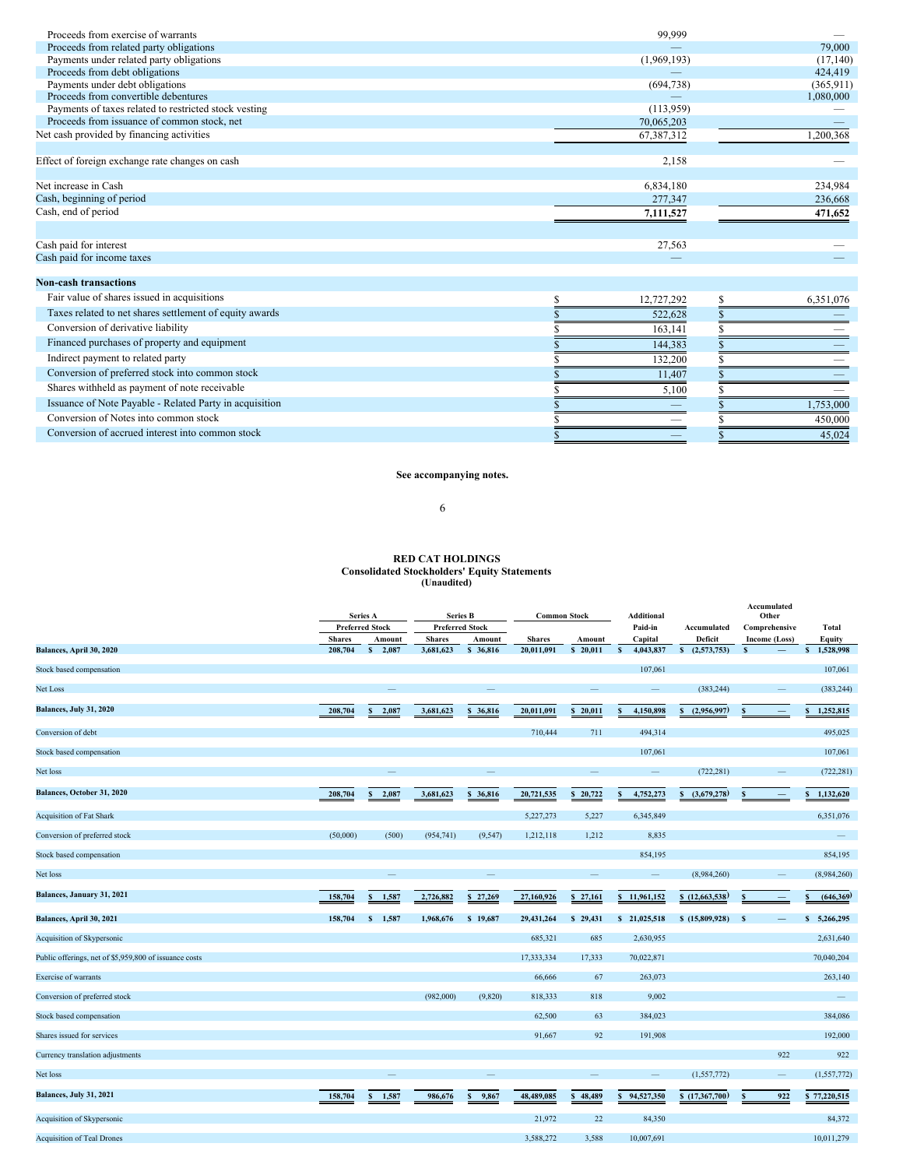| Proceeds from exercise of warrants                      | 99,999      |     |            |
|---------------------------------------------------------|-------------|-----|------------|
| Proceeds from related party obligations                 |             |     | 79,000     |
| Payments under related party obligations                | (1,969,193) |     | (17, 140)  |
| Proceeds from debt obligations                          |             |     | 424,419    |
| Payments under debt obligations                         | (694, 738)  |     | (365, 911) |
| Proceeds from convertible debentures                    |             |     | 1,080,000  |
| Payments of taxes related to restricted stock vesting   | (113,959)   |     |            |
| Proceeds from issuance of common stock, net             | 70,065,203  |     |            |
| Net cash provided by financing activities               | 67,387,312  |     | 1,200,368  |
| Effect of foreign exchange rate changes on cash         | 2,158       |     |            |
| Net increase in Cash                                    | 6,834,180   |     | 234,984    |
| Cash, beginning of period                               | 277,347     |     | 236,668    |
| Cash, end of period                                     | 7,111,527   |     | 471,652    |
|                                                         |             |     |            |
| Cash paid for interest                                  | 27,563      |     |            |
| Cash paid for income taxes                              |             |     |            |
| <b>Non-cash transactions</b>                            |             |     |            |
| Fair value of shares issued in acquisitions             | 12,727,292  | S   | 6,351,076  |
| Taxes related to net shares settlement of equity awards | 522,628     |     |            |
| Conversion of derivative liability                      | 163,141     |     |            |
| Financed purchases of property and equipment            | 144,383     |     |            |
| Indirect payment to related party                       | 132,200     |     |            |
| Conversion of preferred stock into common stock         | 11,407      |     |            |
| Shares withheld as payment of note receivable           | 5,100       |     |            |
| Issuance of Note Payable - Related Party in acquisition |             |     | 1.753.000  |
| Conversion of Notes into common stock                   |             |     | 450,000    |
| Conversion of accrued interest into common stock        |             | \$. | 45.024     |

## **See accompanying notes.**

6

# **RED CAT HOLDINGS Consolidated Stockholders' Equity Statements (Unaudited)**

|                                                        |               | <b>Series A</b>          |                        | <b>Series B</b>          | <b>Common Stock</b> |                          | <b>Additional</b>         |                             | Accumulated<br>Other     |                           |
|--------------------------------------------------------|---------------|--------------------------|------------------------|--------------------------|---------------------|--------------------------|---------------------------|-----------------------------|--------------------------|---------------------------|
|                                                        |               | <b>Preferred Stock</b>   | <b>Preferred Stock</b> |                          |                     |                          | Paid-in                   | Accumulated                 | Comprehensive            | <b>Total</b>              |
|                                                        | <b>Shares</b> | Amount                   | <b>Shares</b>          | Amount                   | <b>Shares</b>       | Amount                   | Capital                   | Deficit                     | Income (Loss)            | <b>Equity</b>             |
| Balances, April 30, 2020                               | 208,704       | $\mathbf{s}$<br>2,087    | 3,681,623              | \$ 36,816                | 20,011,091          | $\mathbf{s}$<br>20,011   | $\mathbf{s}$<br>4,043,837 | $\mathbf{s}$<br>(2,573,753) | $\mathbf{s}$             | $\mathbf{s}$<br>1,528,998 |
| Stock based compensation                               |               |                          |                        |                          |                     |                          | 107,061                   |                             |                          | 107,061                   |
| Net Loss                                               |               |                          |                        |                          |                     |                          |                           | (383, 244)                  |                          | (383, 244)                |
| Balances, July 31, 2020                                | 208,704       | 2,087                    | 3,681,623              | 36,816<br>s              | 20,011,091          | 20,011<br>\$             | 4,150,898                 | (2,956,997)                 |                          | 1,252,815                 |
| Conversion of debt                                     |               |                          |                        |                          | 710,444             | 711                      | 494,314                   |                             |                          | 495,025                   |
| Stock based compensation                               |               |                          |                        |                          |                     |                          | 107,061                   |                             |                          | 107,061                   |
| Net loss                                               |               | $\overline{\phantom{a}}$ |                        | -                        |                     | $\overline{\phantom{a}}$ | -                         | (722, 281)                  |                          | (722, 281)                |
| Balances, October 31, 2020                             | 208,704       | 2,087                    | 3,681,623              | 36,816<br>$\mathbf{s}$   | 20,721,535          | 20,722<br>S              | 4,752,273                 | (3,679,278)                 | S                        | 1,132,620                 |
| <b>Acquisition of Fat Shark</b>                        |               |                          |                        |                          | 5,227,273           | 5,227                    | 6,345,849                 |                             |                          | 6,351,076                 |
| Conversion of preferred stock                          | (50,000)      | (500)                    | (954, 741)             | (9, 547)                 | 1,212,118           | 1,212                    | 8,835                     |                             |                          |                           |
| Stock based compensation                               |               |                          |                        |                          |                     |                          | 854,195                   |                             |                          | 854,195                   |
| Net loss                                               |               |                          |                        |                          |                     |                          | $\overline{\phantom{0}}$  | (8,984,260)                 |                          | (8,984,260)               |
| Balances, January 31, 2021                             | 158,704       | 1,587                    | 2,726,882              | \$27,269                 | 27,160,926          | \$27,161                 | \$11,961,152              | \$(12,663,538)              | S                        | (646, 369)                |
| Balances, April 30, 2021                               | 158,704       | \$1,587                  | 1,968,676              | \$19,687                 | 29,431,264          | \$29,431                 | \$21,025,518              | \$(15,809,928)              | -S                       | \$5,266,295               |
| Acquisition of Skypersonic                             |               |                          |                        |                          | 685,321             | 685                      | 2,630,955                 |                             |                          | 2,631,640                 |
| Public offerings, net of \$5,959,800 of issuance costs |               |                          |                        |                          | 17,333,334          | 17,333                   | 70,022,871                |                             |                          | 70,040,204                |
| <b>Exercise of warrants</b>                            |               |                          |                        |                          | 66,666              | 67                       | 263,073                   |                             |                          | 263,140                   |
| Conversion of preferred stock                          |               |                          | (982,000)              | (9,820)                  | 818,333             | 818                      | 9,002                     |                             |                          |                           |
| Stock based compensation                               |               |                          |                        |                          | 62,500              | 63                       | 384,023                   |                             |                          | 384,086                   |
| Shares issued for services                             |               |                          |                        |                          | 91,667              | 92                       | 191,908                   |                             |                          | 192,000                   |
| Currency translation adjustments                       |               |                          |                        |                          |                     |                          |                           |                             | 922                      | 922                       |
| Net loss                                               |               | -                        |                        | $\overline{\phantom{m}}$ |                     |                          | -                         | (1,557,772)                 | $\overline{\phantom{0}}$ | (1, 557, 772)             |
| <b>Balances, July 31, 2021</b>                         | 158,704       | 1,587                    | 986,676                | 9,867                    | 48,489,085          | 48,489<br>S              | 94,527,350                | \$(17,367,700)              | 922<br>S                 | 77,220,515                |
| Acquisition of Skypersonic                             |               |                          |                        |                          | 21,972              | 22                       | 84,350                    |                             |                          | 84,372                    |
| <b>Acquisition of Teal Drones</b>                      |               |                          |                        |                          | 3,588,272           | 3,588                    | 10,007,691                |                             |                          | 10,011,279                |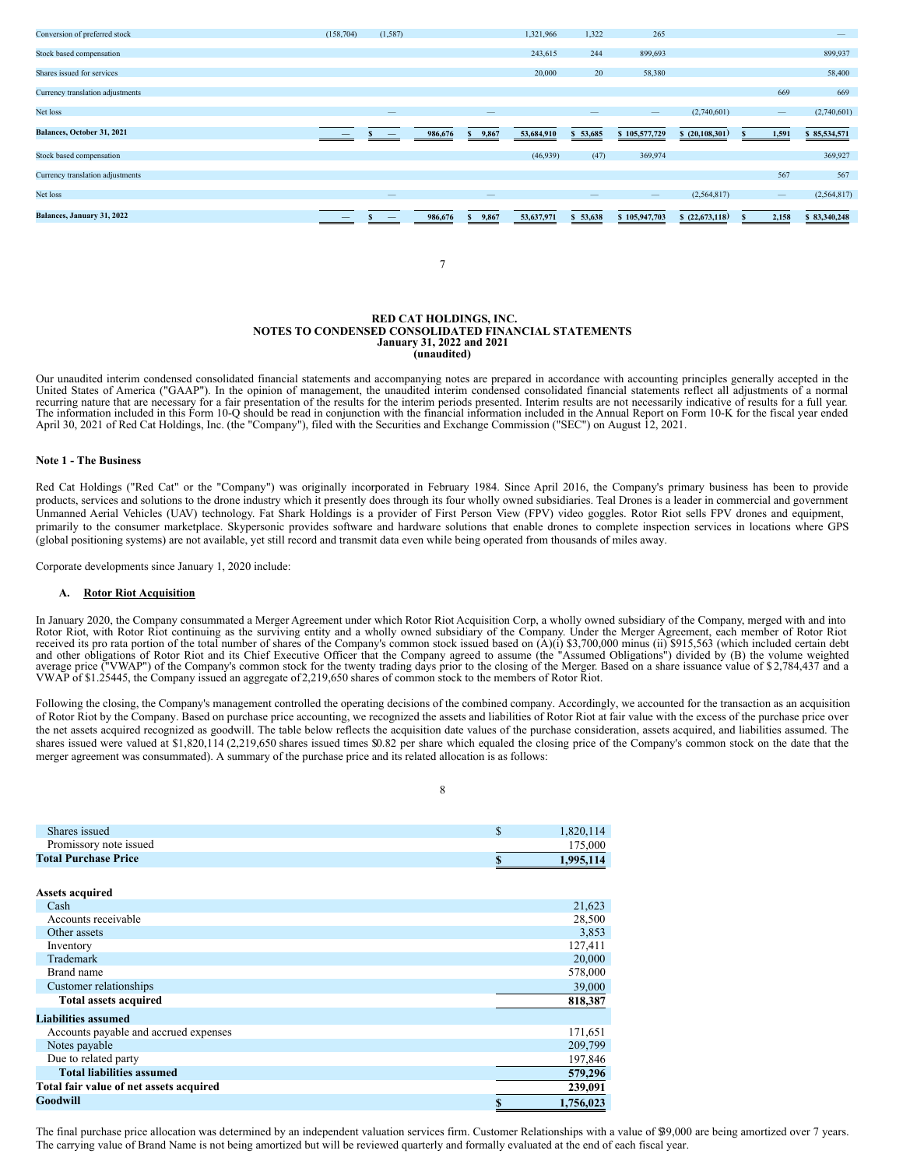

7

#### **RED CAT HOLDINGS, INC. NOTES TO CONDENSED CONSOLIDATED FINANCIAL STATEMENTS January 31, 2022 and 2021 (unaudited)**

Our unaudited interim condensed consolidated financial statements and accompanying notes are prepared in accordance with accounting principles generally accepted in the United States of America ("GAAP"). In the opinion of recurring nature that are necessary for a fair presentation of the results for the interim periods presented. Interim results are not necessarily indicative of results for a full year. The information included in this Form 10-Q should be read in conjunction with the financial information included in the Annual Report on Form 10-K for the fiscal year ended April 30, 2021 of Red Cat Holdings, Inc. (the "Company"), filed with the Securities and Exchange Commission ("SEC") on August 12, 2021.

## **Note 1 - The Business**

Red Cat Holdings ("Red Cat" or the "Company") was originally incorporated in February 1984. Since April 2016, the Company's primary business has been to provide products, services and solutions to the drone industry which it presently does through its four wholly owned subsidiaries. Teal Drones is a leader in commercial and government Unmanned Aerial Vehicles (UAV) technology. Fat Shark Holdings is a provider of First Person View (FPV) video goggles. Rotor Riot sells FPV drones and equipment, primarily to the consumer marketplace. Skypersonic provides software and hardware solutions that enable drones to complete inspection services in locations where GPS (global positioning systems) are not available, yet still record and transmit data even while being operated from thousands of miles away.

Corporate developments since January 1, 2020 include:

#### **A. Rotor Riot Acquisition**

In January 2020, the Company consummated a Merger Agreement under which Rotor Riot Acquisition Corp, a wholly owned subsidiary of the Company, merged with and into Rotor Riot, with Rotor Riot continuing as the surviving entity and a wholly owned subsidiary of the Company. Under the Merger Agreement, each member of Rotor Riot received its pro rata portion of the total number of shares and other obligations of Rotor Riot and its Chief Executive Officer that the Company agreed to assume (the "Assumed Obligations") divided by (B) the volume weighted average price ("VWAP") of the Company's common stock for

Following the closing, the Company's management controlled the operating decisions of the combined company. Accordingly, we accounted for the transaction as an acquisition of Rotor Riot by the Company. Based on purchase price accounting, we recognized the assets and liabilities of Rotor Riot at fair value with the excess of the purchase price over the net assets acquired recognized as goodwill. The table below reflects the acquisition date values of the purchase consideration, assets acquired, and liabilities assumed. The shares issued were valued at \$1,820,114 (2,219,650 shares issued times \$0.82 per share which equaled the closing price of the Company's common stock on the date that the merger agreement was consummated). A summary of the purchase price and its related allocation is as follows:

8

| Shares issued                           | \$<br>1,820,114 |
|-----------------------------------------|-----------------|
| Promissory note issued                  | 175,000         |
| <b>Total Purchase Price</b>             | \$<br>1,995,114 |
|                                         |                 |
| <b>Assets acquired</b>                  |                 |
| Cash                                    | 21,623          |
| Accounts receivable                     | 28,500          |
| Other assets                            | 3,853           |
| Inventory                               | 127,411         |
| Trademark                               | 20,000          |
| Brand name                              | 578,000         |
| Customer relationships                  | 39,000          |
| <b>Total assets acquired</b>            | 818,387         |
| <b>Liabilities assumed</b>              |                 |
| Accounts payable and accrued expenses   | 171,651         |
| Notes payable                           | 209,799         |
| Due to related party                    | 197,846         |
| <b>Total liabilities assumed</b>        | 579,296         |
| Total fair value of net assets acquired | 239,091         |
| <b>Goodwill</b>                         | \$<br>1,756,023 |

The final purchase price allocation was determined by an independent valuation services firm. Customer Relationships with a value of \$9,000 are being amortized over 7 years. The carrying value of Brand Name is not being amortized but will be reviewed quarterly and formally evaluated at the end of each fiscal year.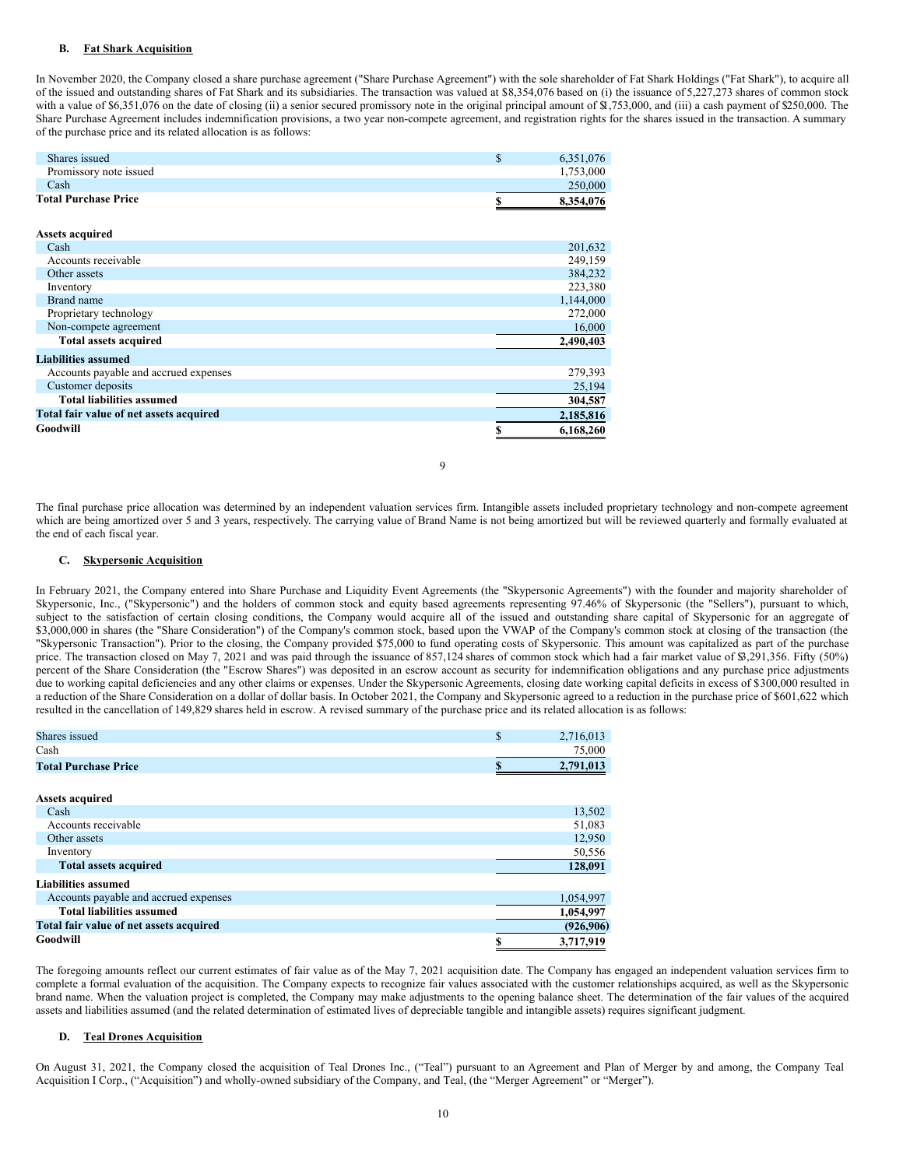## **B. Fat Shark Acquisition**

In November 2020, the Company closed a share purchase agreement ("Share Purchase Agreement") with the sole shareholder of Fat Shark Holdings ("Fat Shark"), to acquire all of the issued and outstanding shares of Fat Shark and its subsidiaries. The transaction was valued at \$8,354,076 based on (i) the issuance of 5,227,273 shares of common stock with a value of \$6,351,076 on the date of closing (ii) a senior secured promissory note in the original principal amount of \$1,753,000, and (iii) a cash payment of \$250,000. The Share Purchase Agreement includes indemnification provisions, a two year non-compete agreement, and registration rights for the shares issued in the transaction. A summary of the purchase price and its related allocation is as follows:

| <b>Total Purchase Price</b> | 8.354.076 |
|-----------------------------|-----------|
| Cash                        | 250,000   |
| Promissory note issued      | 1.753.000 |
| Shares issued               | 6.351.076 |
|                             |           |

| <b>Assets acquired</b>                  |           |
|-----------------------------------------|-----------|
| Cash                                    | 201,632   |
| Accounts receivable                     | 249,159   |
| Other assets                            | 384,232   |
| Inventory                               | 223,380   |
| Brand name                              | 1,144,000 |
| Proprietary technology                  | 272,000   |
| Non-compete agreement                   | 16,000    |
| <b>Total assets acquired</b>            | 2,490,403 |
| <b>Liabilities assumed</b>              |           |
| Accounts payable and accrued expenses   | 279,393   |
| Customer deposits                       | 25,194    |
| <b>Total liabilities assumed</b>        | 304,587   |
| Total fair value of net assets acquired | 2,185,816 |
| Goodwill                                | 6,168,260 |

The final purchase price allocation was determined by an independent valuation services firm. Intangible assets included proprietary technology and non-compete agreement which are being amortized over 5 and 3 years, respectively. The carrying value of Brand Name is not being amortized but will be reviewed quarterly and formally evaluated at the end of each fiscal year.

9

### **C. Skypersonic Acquisition**

In February 2021, the Company entered into Share Purchase and Liquidity Event Agreements (the "Skypersonic Agreements") with the founder and majority shareholder of Skypersonic, Inc., ("Skypersonic") and the holders of common stock and equity based agreements representing 97.46% of Skypersonic (the "Sellers"), pursuant to which, subject to the satisfaction of certain closing conditions, the Company would acquire all of the issued and outstanding share capital of Skypersonic for an aggregate of \$3,000,000 in shares (the "Share Consideration") of the Company's common stock, based upon the VWAP of the Company's common stock at closing of the transaction (the "Skypersonic Transaction"). Prior to the closing, the Company provided \$75,000 to fund operating costs of Skypersonic. This amount was capitalized as part of the purchase price. The transaction closed on May 7, 2021 and was paid through the issuance of 857,124 shares of common stock which had a fair market value of \$3,291,356. Fifty (50%) percent of the Share Consideration (the "Escrow Shares") was deposited in an escrow account as security for indemnification obligations and any purchase price adjustments due to working capital deficiencies and any other claims or expenses. Under the Skypersonic Agreements, closing date working capital deficits in excess of \$300,000 resulted in a reduction of the Share Consideration on a dollar of dollar basis. In October 2021, the Company and Skypersonic agreed to a reduction in the purchase price of \$601,622 which resulted in the cancellation of 149,829 shares held in escrow. A revised summary of the purchase price and its related allocation is as follows:

| Shares issued                           | \$<br>2,716,013 |
|-----------------------------------------|-----------------|
| Cash                                    | 75,000          |
| <b>Total Purchase Price</b>             | 2,791,013       |
|                                         |                 |
| <b>Assets acquired</b>                  |                 |
| Cash                                    | 13,502          |
| Accounts receivable                     | 51,083          |
| Other assets                            | 12,950          |
| Inventory                               | 50,556          |
| <b>Total assets acquired</b>            | 128,091         |
| <b>Liabilities assumed</b>              |                 |
| Accounts payable and accrued expenses   | 1,054,997       |
| <b>Total liabilities assumed</b>        | 1,054,997       |
| Total fair value of net assets acquired | (926, 906)      |
| Goodwill                                | 3,717,919       |

The foregoing amounts reflect our current estimates of fair value as of the May 7, 2021 acquisition date. The Company has engaged an independent valuation services firm to complete a formal evaluation of the acquisition. The Company expects to recognize fair values associated with the customer relationships acquired, as well as the Skypersonic brand name. When the valuation project is completed, the Company may make adjustments to the opening balance sheet. The determination of the fair values of the acquired assets and liabilities assumed (and the related determination of estimated lives of depreciable tangible and intangible assets) requires significant judgment.

## **D. Teal Drones Acquisition**

On August 31, 2021, the Company closed the acquisition of Teal Drones Inc., ("Teal") pursuant to an Agreement and Plan of Merger by and among, the Company Teal Acquisition I Corp., ("Acquisition") and wholly-owned subsidiary of the Company, and Teal, (the "Merger Agreement" or "Merger").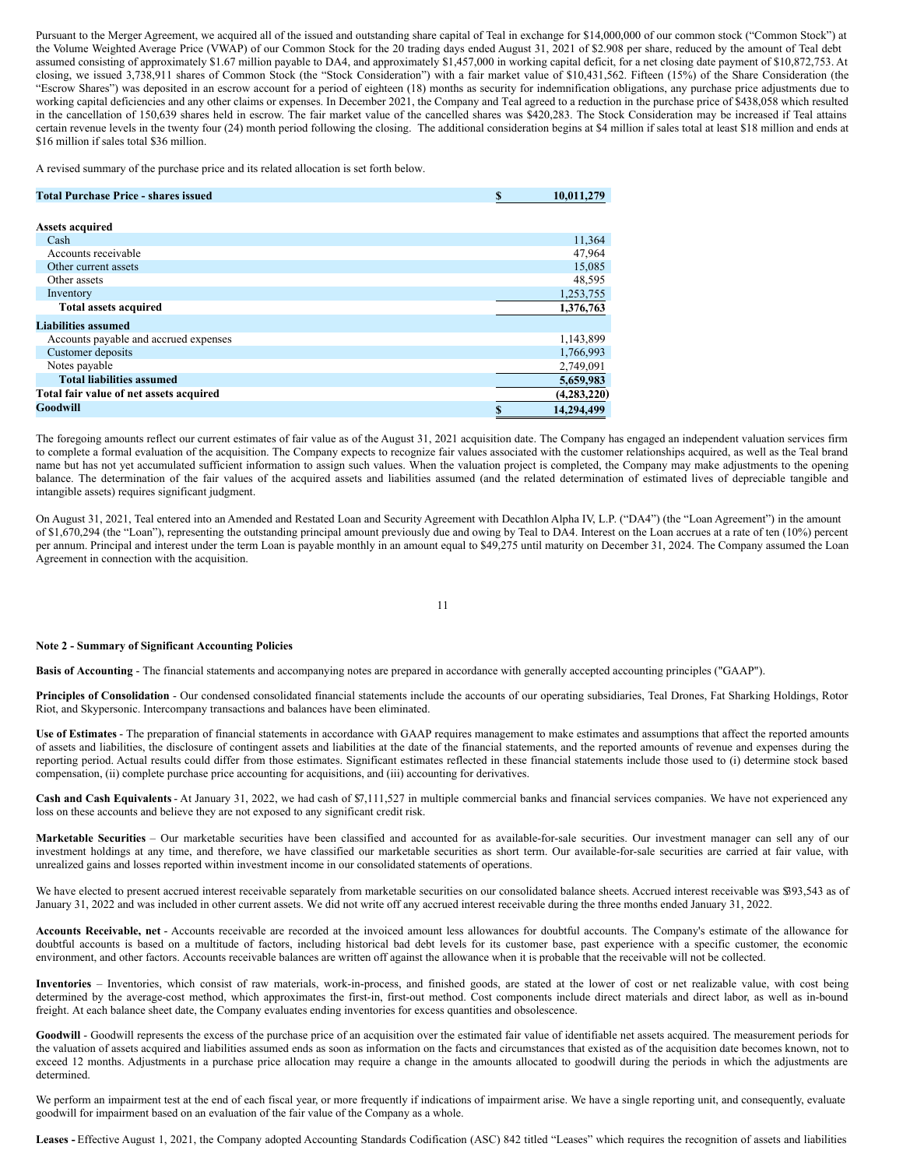Pursuant to the Merger Agreement, we acquired all of the issued and outstanding share capital of Teal in exchange for \$14,000,000 of our common stock ("Common Stock") at the Volume Weighted Average Price (VWAP) of our Common Stock for the 20 trading days ended August 31, 2021 of \$2.908 per share, reduced by the amount of Teal debt assumed consisting of approximately \$1.67 million payable to DA4, and approximately \$1,457,000 in working capital deficit, for a net closing date payment of \$10,872,753. At closing, we issued 3,738,911 shares of Common Stock (the "Stock Consideration") with a fair market value of \$10,431,562. Fifteen (15%) of the Share Consideration (the "Escrow Shares") was deposited in an escrow account for a period of eighteen (18) months as security for indemnification obligations, any purchase price adjustments due to working capital deficiencies and any other claims or expenses. In December 2021, the Company and Teal agreed to a reduction in the purchase price of \$438,058 which resulted in the cancellation of 150,639 shares held in escrow. The fair market value of the cancelled shares was \$420,283. The Stock Consideration may be increased if Teal attains certain revenue levels in the twenty four (24) month period following the closing. The additional consideration begins at \$4 million if sales total at least \$18 million and ends at \$16 million if sales total \$36 million.

A revised summary of the purchase price and its related allocation is set forth below.

| <b>Total Purchase Price - shares issued</b> | \$ | 10,011,279    |
|---------------------------------------------|----|---------------|
|                                             |    |               |
| <b>Assets acquired</b>                      |    |               |
| Cash                                        |    | 11,364        |
| Accounts receivable                         |    | 47,964        |
| Other current assets                        |    | 15,085        |
| Other assets                                |    | 48,595        |
| Inventory                                   |    | 1,253,755     |
| <b>Total assets acquired</b>                |    | 1,376,763     |
| <b>Liabilities assumed</b>                  |    |               |
| Accounts payable and accrued expenses       |    | 1,143,899     |
| Customer deposits                           |    | 1,766,993     |
| Notes payable                               |    | 2,749,091     |
| <b>Total liabilities assumed</b>            |    | 5,659,983     |
| Total fair value of net assets acquired     |    | (4, 283, 220) |
| Goodwill                                    | S  | 14.294.499    |

The foregoing amounts reflect our current estimates of fair value as of the August 31, 2021 acquisition date. The Company has engaged an independent valuation services firm to complete a formal evaluation of the acquisition. The Company expects to recognize fair values associated with the customer relationships acquired, as well as the Teal brand name but has not yet accumulated sufficient information to assign such values. When the valuation project is completed, the Company may make adjustments to the opening balance. The determination of the fair values of the acquired assets and liabilities assumed (and the related determination of estimated lives of depreciable tangible and intangible assets) requires significant judgment.

On August 31, 2021, Teal entered into an Amended and Restated Loan and Security Agreement with Decathlon Alpha IV, L.P. ("DA4") (the "Loan Agreement") in the amount of \$1,670,294 (the "Loan"), representing the outstanding principal amount previously due and owing by Teal to DA4. Interest on the Loan accrues at a rate of ten (10%) percent per annum. Principal and interest under the term Loan is payable monthly in an amount equal to \$49,275 until maturity on December 31, 2024. The Company assumed the Loan Agreement in connection with the acquisition.

11

## **Note 2 - Summary of Significant Accounting Policies**

**Basis of Accounting** - The financial statements and accompanying notes are prepared in accordance with generally accepted accounting principles ("GAAP").

**Principles of Consolidation** - Our condensed consolidated financial statements include the accounts of our operating subsidiaries, Teal Drones, Fat Sharking Holdings, Rotor Riot, and Skypersonic. Intercompany transactions and balances have been eliminated.

**Use of Estimates** - The preparation of financial statements in accordance with GAAP requires management to make estimates and assumptions that affect the reported amounts of assets and liabilities, the disclosure of contingent assets and liabilities at the date of the financial statements, and the reported amounts of revenue and expenses during the reporting period. Actual results could differ from those estimates. Significant estimates reflected in these financial statements include those used to (i) determine stock based compensation, (ii) complete purchase price accounting for acquisitions, and (iii) accounting for derivatives.

**Cash and Cash Equivalents**- At January 31, 2022, we had cash of \$7,111,527 in multiple commercial banks and financial services companies. We have not experienced any loss on these accounts and believe they are not exposed to any significant credit risk.

**Marketable Securities** – Our marketable securities have been classified and accounted for as available-for-sale securities. Our investment manager can sell any of our investment holdings at any time, and therefore, we have classified our marketable securities as short term. Our available-for-sale securities are carried at fair value, with unrealized gains and losses reported within investment income in our consolidated statements of operations.

We have elected to present accrued interest receivable separately from marketable securities on our consolidated balance sheets. Accrued interest receivable was \$93,543 as of January 31, 2022 and was included in other current assets. We did not write off any accrued interest receivable during the three months ended January 31, 2022.

**Accounts Receivable, net** - Accounts receivable are recorded at the invoiced amount less allowances for doubtful accounts. The Company's estimate of the allowance for doubtful accounts is based on a multitude of factors, including historical bad debt levels for its customer base, past experience with a specific customer, the economic environment, and other factors. Accounts receivable balances are written off against the allowance when it is probable that the receivable will not be collected.

**Inventories** – Inventories, which consist of raw materials, work-in-process, and finished goods, are stated at the lower of cost or net realizable value, with cost being determined by the average-cost method, which approximates the first-in, first-out method. Cost components include direct materials and direct labor, as well as in-bound freight. At each balance sheet date, the Company evaluates ending inventories for excess quantities and obsolescence.

Goodwill - Goodwill represents the excess of the purchase price of an acquisition over the estimated fair value of identifiable net assets acquired. The measurement periods for the valuation of assets acquired and liabilities assumed ends as soon as information on the facts and circumstances that existed as of the acquisition date becomes known, not to exceed 12 months. Adjustments in a purchase price allocation may require a change in the amounts allocated to goodwill during the periods in which the adjustments are determined.

We perform an impairment test at the end of each fiscal year, or more frequently if indications of impairment arise. We have a single reporting unit, and consequently, evaluate goodwill for impairment based on an evaluation of the fair value of the Company as a whole.

**Leases -** Effective August 1, 2021, the Company adopted Accounting Standards Codification (ASC) 842 titled "Leases" which requires the recognition of assets and liabilities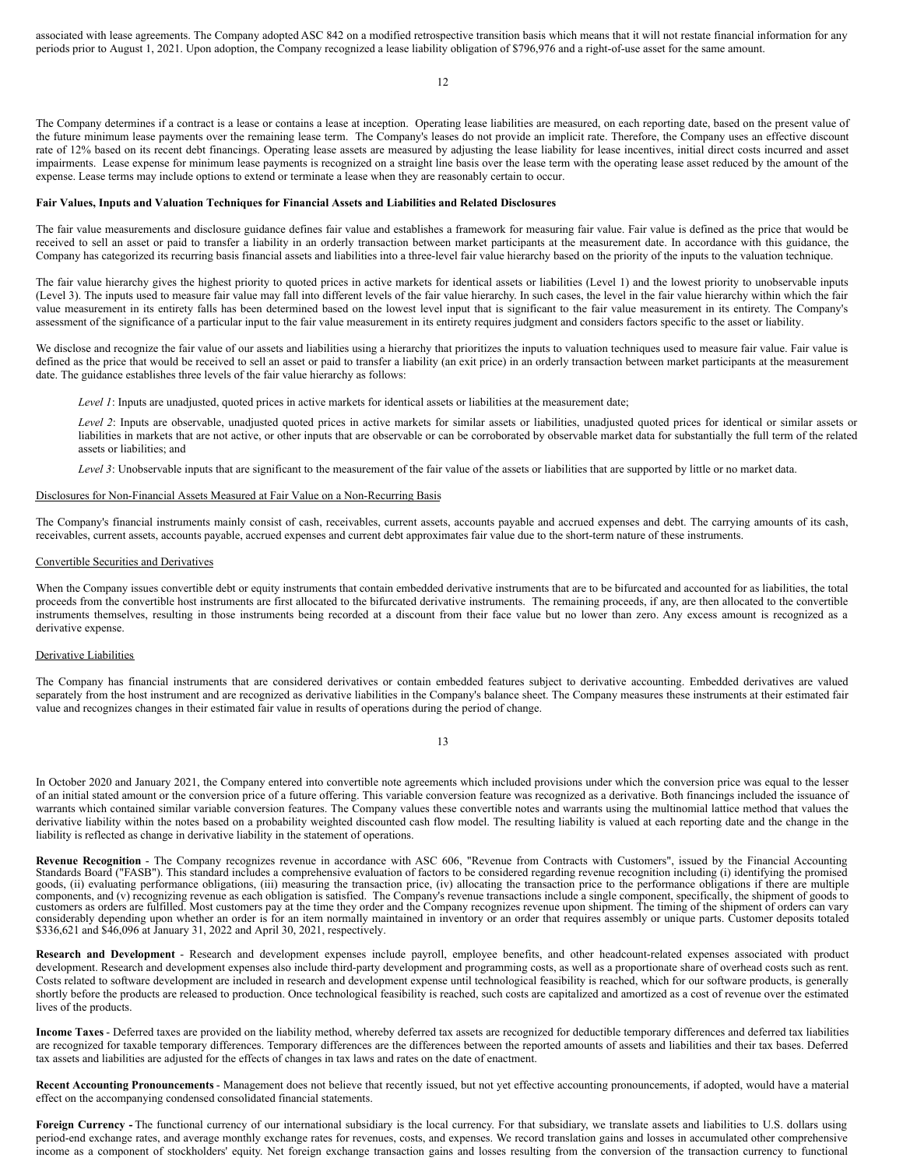associated with lease agreements. The Company adopted ASC 842 on a modified retrospective transition basis which means that it will not restate financial information for any periods prior to August 1, 2021. Upon adoption, the Company recognized a lease liability obligation of \$796,976 and a right-of-use asset for the same amount.

12

The Company determines if a contract is a lease or contains a lease at inception. Operating lease liabilities are measured, on each reporting date, based on the present value of the future minimum lease payments over the remaining lease term. The Company's leases do not provide an implicit rate. Therefore, the Company uses an effective discount rate of 12% based on its recent debt financings. Operating lease assets are measured by adjusting the lease liability for lease incentives, initial direct costs incurred and asset impairments. Lease expense for minimum lease payments is recognized on a straight line basis over the lease term with the operating lease asset reduced by the amount of the expense. Lease terms may include options to extend or terminate a lease when they are reasonably certain to occur.

### **Fair Values, Inputs and Valuation Techniques for Financial Assets and Liabilities and Related Disclosures**

The fair value measurements and disclosure guidance defines fair value and establishes a framework for measuring fair value. Fair value is defined as the price that would be received to sell an asset or paid to transfer a liability in an orderly transaction between market participants at the measurement date. In accordance with this guidance, the Company has categorized its recurring basis financial assets and liabilities into a three-level fair value hierarchy based on the priority of the inputs to the valuation technique.

The fair value hierarchy gives the highest priority to quoted prices in active markets for identical assets or liabilities (Level 1) and the lowest priority to unobservable inputs (Level 3). The inputs used to measure fair value may fall into different levels of the fair value hierarchy. In such cases, the level in the fair value hierarchy within which the fair value measurement in its entirety falls has been determined based on the lowest level input that is significant to the fair value measurement in its entirety. The Company's assessment of the significance of a particular input to the fair value measurement in its entirety requires judgment and considers factors specific to the asset or liability.

We disclose and recognize the fair value of our assets and liabilities using a hierarchy that prioritizes the inputs to valuation techniques used to measure fair value. Fair value is defined as the price that would be received to sell an asset or paid to transfer a liability (an exit price) in an orderly transaction between market participants at the measurement date. The guidance establishes three levels of the fair value hierarchy as follows:

*Level 1*: Inputs are unadjusted, quoted prices in active markets for identical assets or liabilities at the measurement date;

*Level 2*: Inputs are observable, unadjusted quoted prices in active markets for similar assets or liabilities, unadjusted quoted prices for identical or similar assets or liabilities in markets that are not active, or other inputs that are observable or can be corroborated by observable market data for substantially the full term of the related assets or liabilities; and

*Level 3*: Unobservable inputs that are significant to the measurement of the fair value of the assets or liabilities that are supported by little or no market data.

### Disclosures for Non-Financial Assets Measured at Fair Value on a Non-Recurring Basis

The Company's financial instruments mainly consist of cash, receivables, current assets, accounts payable and accrued expenses and debt. The carrying amounts of its cash, receivables, current assets, accounts payable, accrued expenses and current debt approximates fair value due to the short-term nature of these instruments.

#### Convertible Securities and Derivatives

When the Company issues convertible debt or equity instruments that contain embedded derivative instruments that are to be bifurcated and accounted for as liabilities, the total proceeds from the convertible host instruments are first allocated to the bifurcated derivative instruments. The remaining proceeds, if any, are then allocated to the convertible instruments themselves, resulting in those instruments being recorded at a discount from their face value but no lower than zero. Any excess amount is recognized as a derivative expense.

### Derivative Liabilities

The Company has financial instruments that are considered derivatives or contain embedded features subject to derivative accounting. Embedded derivatives are valued separately from the host instrument and are recognized as derivative liabilities in the Company's balance sheet. The Company measures these instruments at their estimated fair value and recognizes changes in their estimated fair value in results of operations during the period of change.

13

In October 2020 and January 2021, the Company entered into convertible note agreements which included provisions under which the conversion price was equal to the lesser of an initial stated amount or the conversion price of a future offering. This variable conversion feature was recognized as a derivative. Both financings included the issuance of warrants which contained similar variable conversion features. The Company values these convertible notes and warrants using the multinomial lattice method that values the derivative liability within the notes based on a probability weighted discounted cash flow model. The resulting liability is valued at each reporting date and the change in the liability is reflected as change in derivative liability in the statement of operations.

Revenue Recognition - The Company recognizes revenue in accordance with ASC 606, "Revenue from Contracts with Customers", issued by the Financial Accounting<br>Standards Board ("FASB"). This standard includes a comprehensive goods, (ii) evaluating performance obligations, (iii) measuring the transaction price, (iv) allocating the transaction price to the performance obligations if there are multiple components, and (v) recognizing revenue as e customers as orders are fulfilled. Most customers pay at the time they order and the Company recognizes revenue upon shipment. The timing of the shipment of orders can vary considerably depending upon whether an order is for an item normally maintained in inventory or an order that requires assembly or unique parts. Customer deposits totaled<br>\$336,621 and \$46,096 at January 31, 2022 and April

**Research and Development** - Research and development expenses include payroll, employee benefits, and other headcount-related expenses associated with product development. Research and development expenses also include third-party development and programming costs, as well as a proportionate share of overhead costs such as rent. Costs related to software development are included in research and development expense until technological feasibility is reached, which for our software products, is generally shortly before the products are released to production. Once technological feasibility is reached, such costs are capitalized and amortized as a cost of revenue over the estimated lives of the products.

**Income Taxes** - Deferred taxes are provided on the liability method, whereby deferred tax assets are recognized for deductible temporary differences and deferred tax liabilities are recognized for taxable temporary differences. Temporary differences are the differences between the reported amounts of assets and liabilities and their tax bases. Deferred tax assets and liabilities are adjusted for the effects of changes in tax laws and rates on the date of enactment.

**Recent Accounting Pronouncements** - Management does not believe that recently issued, but not yet effective accounting pronouncements, if adopted, would have a material effect on the accompanying condensed consolidated financial statements.

**Foreign Currency -** The functional currency of our international subsidiary is the local currency. For that subsidiary, we translate assets and liabilities to U.S. dollars using period-end exchange rates, and average monthly exchange rates for revenues, costs, and expenses. We record translation gains and losses in accumulated other comprehensive income as a component of stockholders' equity. Net foreign exchange transaction gains and losses resulting from the conversion of the transaction currency to functional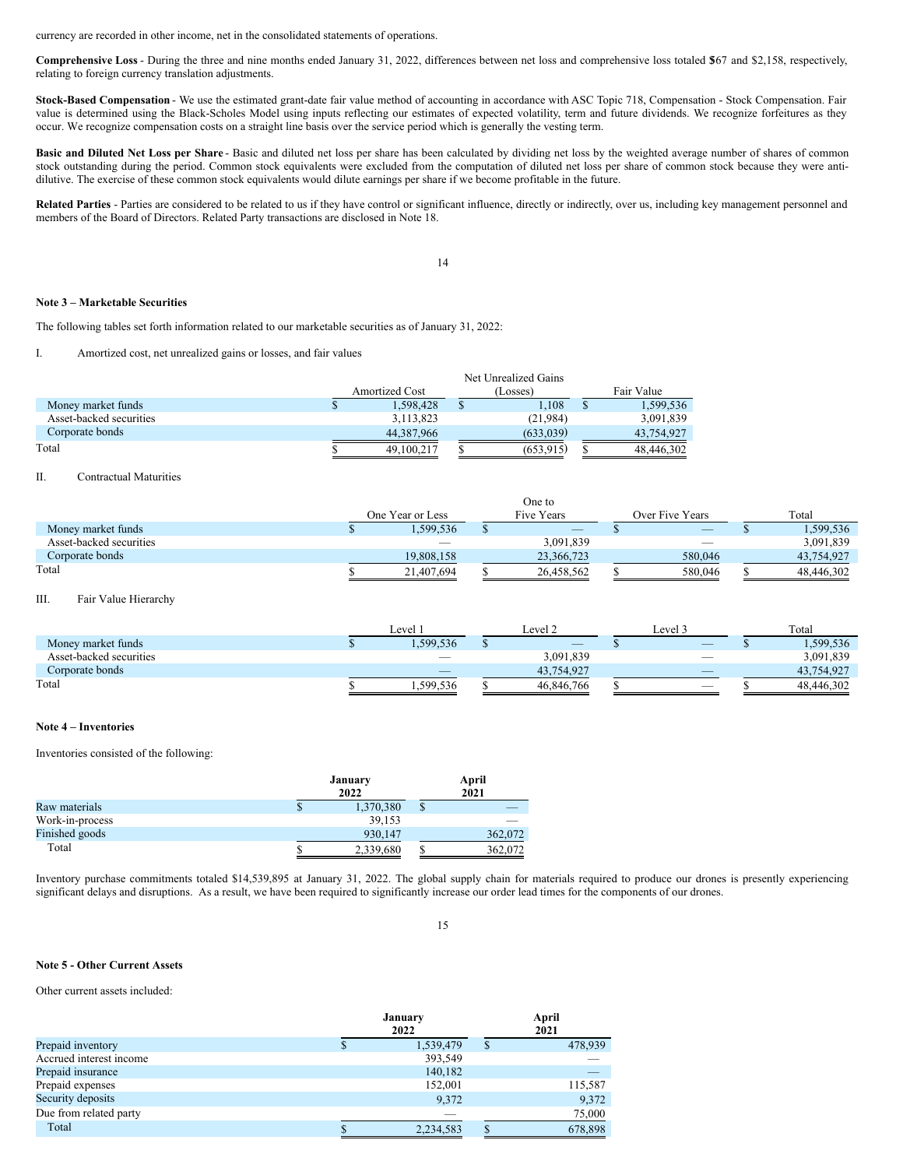currency are recorded in other income, net in the consolidated statements of operations.

**Comprehensive Loss** - During the three and nine months ended January 31, 2022, differences between net loss and comprehensive loss totaled \$567 and \$2,158, respectively, relating to foreign currency translation adjustments.

**Stock-Based Compensation** - We use the estimated grant-date fair value method of accounting in accordance with ASC Topic 718, Compensation - Stock Compensation. Fair value is determined using the Black-Scholes Model using inputs reflecting our estimates of expected volatility, term and future dividends. We recognize forfeitures as they occur. We recognize compensation costs on a straight line basis over the service period which is generally the vesting term.

**Basic and Diluted Net Loss per Share** - Basic and diluted net loss per share has been calculated by dividing net loss by the weighted average number of shares of common stock outstanding during the period. Common stock equivalents were excluded from the computation of diluted net loss per share of common stock because they were antidilutive. The exercise of these common stock equivalents would dilute earnings per share if we become profitable in the future.

Related Parties - Parties are considered to be related to us if they have control or significant influence, directly or indirectly, over us, including key management personnel and members of the Board of Directors. Related Party transactions are disclosed in Note 18.

14

#### **Note 3 – Marketable Securities**

The following tables set forth information related to our marketable securities as of January 31, 2022:

I. Amortized cost, net unrealized gains or losses, and fair values

|                         | Net Unrealized Gains |                       |  |           |  |            |
|-------------------------|----------------------|-----------------------|--|-----------|--|------------|
|                         |                      | <b>Amortized Cost</b> |  | (Losses)  |  | Fair Value |
| Money market funds      |                      | 1,598,428             |  | 1.108     |  | 1,599,536  |
| Asset-backed securities |                      | 3,113,823             |  | (21.984)  |  | 3,091,839  |
| Corporate bonds         |                      | 44,387,966            |  | (633.039) |  | 43,754,927 |
| Total                   |                      | 49,100,217            |  | (653.915) |  | 48.446.302 |

## II. Contractual Maturities

|                         |                  | vne w                    |                 |            |
|-------------------------|------------------|--------------------------|-----------------|------------|
|                         | One Year or Less | Five Years               | Over Five Years | Total      |
| Money market funds      | .599.536         | $\overline{\phantom{a}}$ | $-$             | 1,599,536  |
| Asset-backed securities |                  | 3.091.839                |                 | 3,091,839  |
| Corporate bonds         | 19.808.158       | 23.366.723               | 580,046         | 43.754.927 |
| Total                   | 21.407.694       | 26.458.562               | 580,046         | 48.446.302 |

One to

III. Fair Value Hierarchy

|                         | Level                    |  | Level 2                  |  | Level .                  | Total |            |
|-------------------------|--------------------------|--|--------------------------|--|--------------------------|-------|------------|
| Money market funds      | 1,599,536                |  | $\overline{\phantom{a}}$ |  | $\overline{\phantom{a}}$ |       | .599.536   |
| Asset-backed securities | $\sim$                   |  | 3,091,839                |  | $\overline{\phantom{a}}$ |       | 3,091,839  |
| Corporate bonds         | $\overline{\phantom{a}}$ |  | 43.754.927               |  | $\overline{\phantom{a}}$ |       | 43,754,927 |
| Total                   | 1.599.536                |  | 46,846,766               |  | -                        |       | 48,446,302 |

#### **Note 4 – Inventories**

Inventories consisted of the following:

|                 | January<br>2022 |    | April<br>2021 |
|-----------------|-----------------|----|---------------|
| Raw materials   | 1,370,380       | \$ |               |
| Work-in-process | 39.153          |    |               |
| Finished goods  | 930,147         |    | 362,072       |
| Total           | 2,339,680       | S  | 362,072       |

Inventory purchase commitments totaled \$14,539,895 at January 31, 2022. The global supply chain for materials required to produce our drones is presently experiencing significant delays and disruptions. As a result, we have been required to significantly increase our order lead times for the components of our drones.

15

#### **Note 5 - Other Current Assets**

Other current assets included:

|                         | January<br>2022 |   |         |
|-------------------------|-----------------|---|---------|
| Prepaid inventory       | 1,539,479       | S | 478,939 |
| Accrued interest income | 393,549         |   |         |
| Prepaid insurance       | 140,182         |   | _       |
| Prepaid expenses        | 152,001         |   | 115,587 |
| Security deposits       | 9,372           |   | 9,372   |
| Due from related party  |                 |   | 75,000  |
| Total                   | 2,234,583       | S | 678,898 |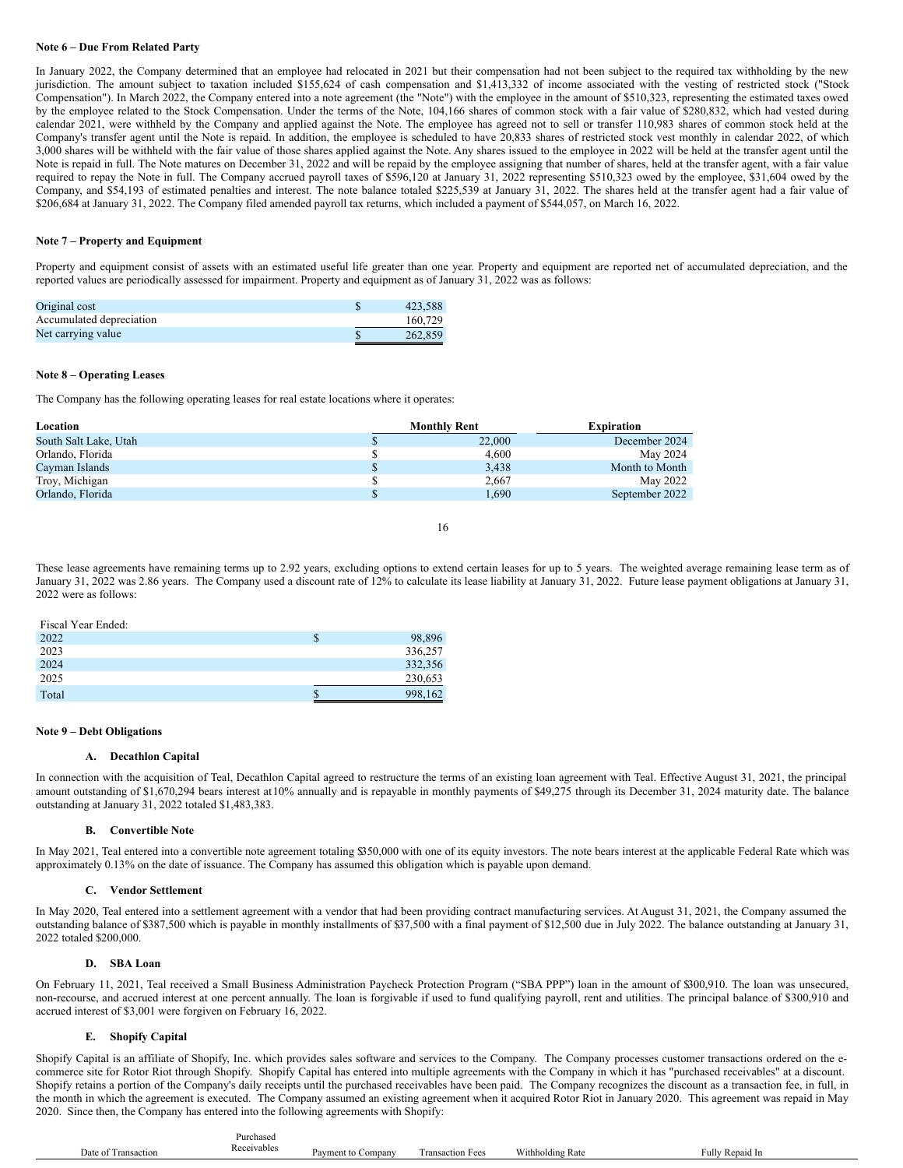## **Note 6 – Due From Related Party**

In January 2022, the Company determined that an employee had relocated in 2021 but their compensation had not been subject to the required tax withholding by the new jurisdiction. The amount subject to taxation included \$155,624 of cash compensation and \$1,413,332 of income associated with the vesting of restricted stock ("Stock Compensation"). In March 2022, the Company entered into a note agreement (the "Note") with the employee in the amount of \$510,323, representing the estimated taxes owed by the employee related to the Stock Compensation. Under the terms of the Note, 104,166 shares of common stock with a fair value of \$280,832, which had vested during calendar 2021, were withheld by the Company and applied against the Note. The employee has agreed not to sell or transfer 110,983 shares of common stock held at the Company's transfer agent until the Note is repaid. In addition, the employee is scheduled to have 20,833 shares of restricted stock vest monthly in calendar 2022, of which 3,000 shares will be withheld with the fair value of those shares applied against the Note. Any shares issued to the employee in 2022 will be held at the transfer agent until the Note is repaid in full. The Note matures on December 31, 2022 and will be repaid by the employee assigning that number of shares, held at the transfer agent, with a fair value required to repay the Note in full. The Company accrued payroll taxes of \$596,120 at January 31, 2022 representing \$510,323 owed by the employee, \$31,604 owed by the Company, and \$54,193 of estimated penalties and interest. The note balance totaled \$225,539 at January 31, 2022. The shares held at the transfer agent had a fair value of \$206,684 at January 31, 2022. The Company filed amended payroll tax returns, which included a payment of \$544,057, on March 16, 2022.

## **Note 7 – Property and Equipment**

Property and equipment consist of assets with an estimated useful life greater than one year. Property and equipment are reported net of accumulated depreciation, and the reported values are periodically assessed for impairment. Property and equipment as of January 31, 2022 was as follows:

| Original cost            | 423.588 |
|--------------------------|---------|
| Accumulated depreciation | 160,729 |
| Net carrying value       | 262,859 |

#### **Note 8 – Operating Leases**

The Company has the following operating leases for real estate locations where it operates:

| Location              | <b>Monthly Rent</b> | <b>Expiration</b> |
|-----------------------|---------------------|-------------------|
| South Salt Lake, Utah | 22,000              | December 2024     |
| Orlando, Florida      | 4.600               | May 2024          |
| Cayman Islands        | 3.438               | Month to Month    |
| Troy, Michigan        | 2.667               | May 2022          |
| Orlando, Florida      | 1.690               | September 2022    |

16

These lease agreements have remaining terms up to 2.92 years, excluding options to extend certain leases for up to 5 years. The weighted average remaining lease term as of January 31, 2022 was 2.86 years. The Company used a discount rate of 12% to calculate its lease liability at January 31, 2022. Future lease payment obligations at January 31, 2022 were as follows:

| Fiscal Year Ended: |         |
|--------------------|---------|
| 2022               | 98,896  |
| 2023               | 336,257 |
| 2024               | 332,356 |
| 2025               | 230,653 |
| Total              | 998,162 |

### **Note 9 – Debt Obligations**

Fiscal Year Ended:

#### **A. Decathlon Capital**

In connection with the acquisition of Teal, Decathlon Capital agreed to restructure the terms of an existing loan agreement with Teal. Effective August 31, 2021, the principal amount outstanding of \$1,670,294 bears interest at10% annually and is repayable in monthly payments of \$49,275 through its December 31, 2024 maturity date. The balance outstanding at January 31, 2022 totaled \$1,483,383.

#### **B. Convertible Note**

In May 2021, Teal entered into a convertible note agreement totaling \$350,000 with one of its equity investors. The note bears interest at the applicable Federal Rate which was approximately 0.13% on the date of issuance. The Company has assumed this obligation which is payable upon demand.

#### **C. Vendor Settlement**

In May 2020, Teal entered into a settlement agreement with a vendor that had been providing contract manufacturing services. At August 31, 2021, the Company assumed the outstanding balance of \$387,500 which is payable in monthly installments of \$37,500 with a final payment of \$12,500 due in July 2022. The balance outstanding at January 31, 2022 totaled \$200,000.

#### **D. SBA Loan**

On February 11, 2021, Teal received a Small Business Administration Paycheck Protection Program ("SBA PPP") loan in the amount of \$300,910. The loan was unsecured, non-recourse, and accrued interest at one percent annually. The loan is forgivable if used to fund qualifying payroll, rent and utilities. The principal balance of \$300,910 and accrued interest of \$3,001 were forgiven on February 16, 2022.

## **E. Shopify Capital**

Shopify Capital is an affiliate of Shopify, Inc. which provides sales software and services to the Company. The Company processes customer transactions ordered on the ecommerce site for Rotor Riot through Shopify. Shopify Capital has entered into multiple agreements with the Company in which it has "purchased receivables" at a discount. Shopify retains a portion of the Company's daily receipts until the purchased receivables have been paid. The Company recognizes the discount as a transaction fee, in full, in the month in which the agreement is executed. The Company assumed an existing agreement when it acquired Rotor Riot in January 2020. This agreement was repaid in May 2020. Since then, the Company has entered into the following agreements with Shopify:

|                     | Purchased   |         |
|---------------------|-------------|---------|
| Date of Transaction | Receivables | Payment |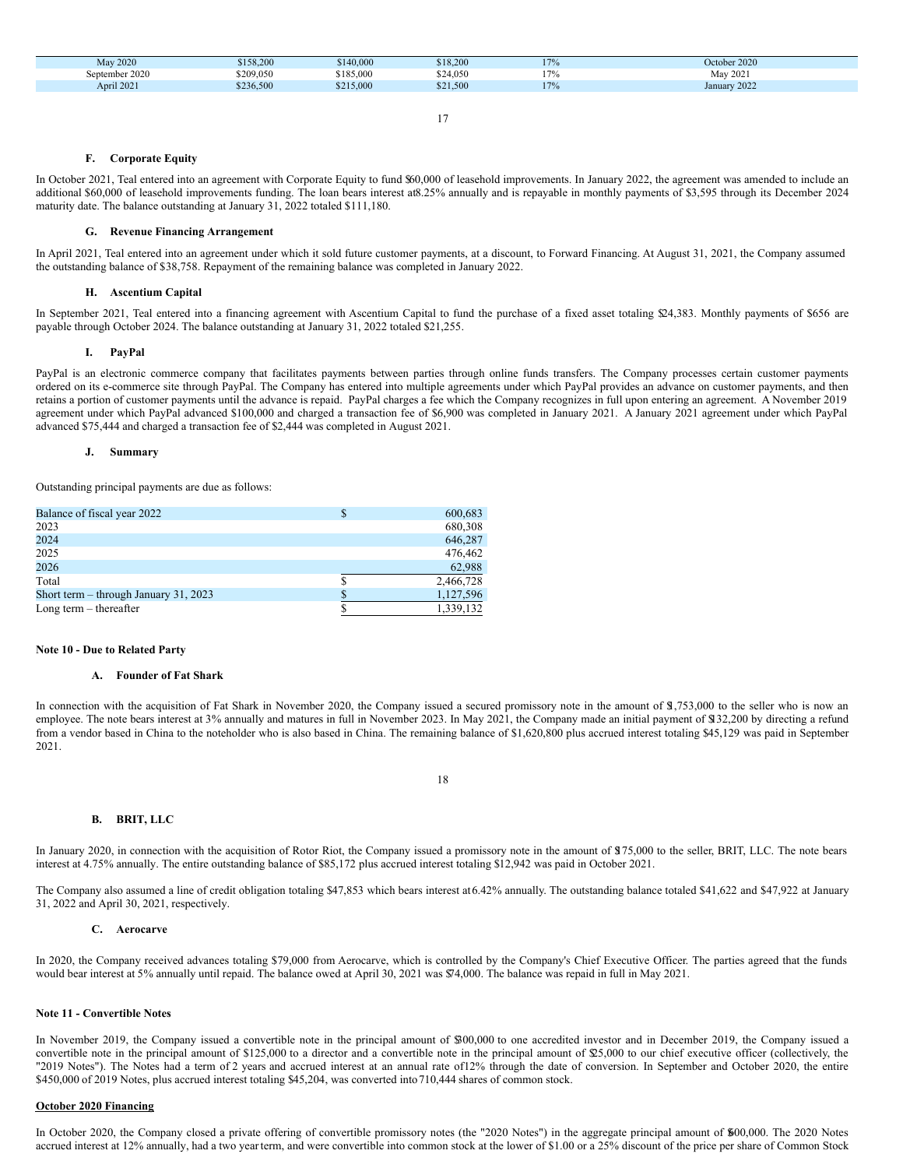| <b>May 2020</b> | \$158,200 | \$140,000 | \$18,200 | 170 | October 2020 |
|-----------------|-----------|-----------|----------|-----|--------------|
| September 2020  | \$209,050 | \$185,000 | \$24,050 | $-$ | May 2021     |
| April 2021      | \$236,500 | \$215,000 | \$21,500 | 170 | January 2022 |

#### **F. Corporate Equity**

In October 2021, Teal entered into an agreement with Corporate Equity to fund \$60,000 of leasehold improvements. In January 2022, the agreement was amended to include an additional \$60,000 of leasehold improvements funding. The loan bears interest at8.25% annually and is repayable in monthly payments of \$3,595 through its December 2024 maturity date. The balance outstanding at January 31, 2022 totaled \$111,180.

### **G. Revenue Financing Arrangement**

In April 2021, Teal entered into an agreement under which it sold future customer payments, at a discount, to Forward Financing. At August 31, 2021, the Company assumed the outstanding balance of \$38,758. Repayment of the remaining balance was completed in January 2022.

## **H. Ascentium Capital**

In September 2021, Teal entered into a financing agreement with Ascentium Capital to fund the purchase of a fixed asset totaling \$24,383. Monthly payments of \$656 are payable through October 2024. The balance outstanding at January 31, 2022 totaled \$21,255.

## **I. PayPal**

PayPal is an electronic commerce company that facilitates payments between parties through online funds transfers. The Company processes certain customer payments ordered on its e-commerce site through PayPal. The Company has entered into multiple agreements under which PayPal provides an advance on customer payments, and then retains a portion of customer payments until the advance is repaid. PayPal charges a fee which the Company recognizes in full upon entering an agreement. A November 2019 agreement under which PayPal advanced \$100,000 and charged a transaction fee of \$6,900 was completed in January 2021. A January 2021 agreement under which PayPal advanced \$75,444 and charged a transaction fee of \$2,444 was completed in August 2021.

### **J. Summary**

Outstanding principal payments are due as follows:

| Balance of fiscal year 2022             | 600,683   |
|-----------------------------------------|-----------|
| 2023                                    | 680,308   |
| 2024                                    | 646,287   |
| 2025                                    | 476,462   |
| 2026                                    | 62,988    |
| Total                                   | 2,466,728 |
| Short term $-$ through January 31, 2023 | 1,127,596 |
| Long term $-$ thereafter                | 1,339,132 |

### **Note 10 - Due to Related Party**

#### **A. Founder of Fat Shark**

In connection with the acquisition of Fat Shark in November 2020, the Company issued a secured promissory note in the amount of \$1,753,000 to the seller who is now an employee. The note bears interest at 3% annually and matures in full in November 2023. In May 2021, the Company made an initial payment of \$132,200 by directing a refund from a vendor based in China to the noteholder who is also based in China. The remaining balance of \$1,620,800 plus accrued interest totaling \$45,129 was paid in September 2021.

## 18

## **B. BRIT, LLC**

In January 2020, in connection with the acquisition of Rotor Riot, the Company issued a promissory note in the amount of \$175,000 to the seller, BRIT, LLC. The note bears interest at 4.75% annually. The entire outstanding balance of \$85,172 plus accrued interest totaling \$12,942 was paid in October 2021.

The Company also assumed a line of credit obligation totaling \$47,853 which bears interest at6.42% annually. The outstanding balance totaled \$41,622 and \$47,922 at January 31, 2022 and April 30, 2021, respectively.

#### **C. Aerocarve**

In 2020, the Company received advances totaling \$79,000 from Aerocarve, which is controlled by the Company's Chief Executive Officer. The parties agreed that the funds would bear interest at 5% annually until repaid. The balance owed at April 30, 2021 was \$74,000. The balance was repaid in full in May 2021.

## **Note 11 - Convertible Notes**

In November 2019, the Company issued a convertible note in the principal amount of \$300,000 to one accredited investor and in December 2019, the Company issued a convertible note in the principal amount of \$125,000 to a director and a convertible note in the principal amount of \$25,000 to our chief executive officer (collectively, the "2019 Notes"). The Notes had a term of 2 years and accrued interest at an annual rate of12% through the date of conversion. In September and October 2020, the entire \$450,000 of 2019 Notes, plus accrued interest totaling \$45,204, was converted into710,444 shares of common stock.

#### **October 2020 Financing**

In October 2020, the Company closed a private offering of convertible promissory notes (the "2020 Notes") in the aggregate principal amount of \$600,000. The 2020 Notes accrued interest at 12% annually, had a two yearterm, and were convertible into common stock at the lower of \$1.00 or a 25% discount of the price per share of Common Stock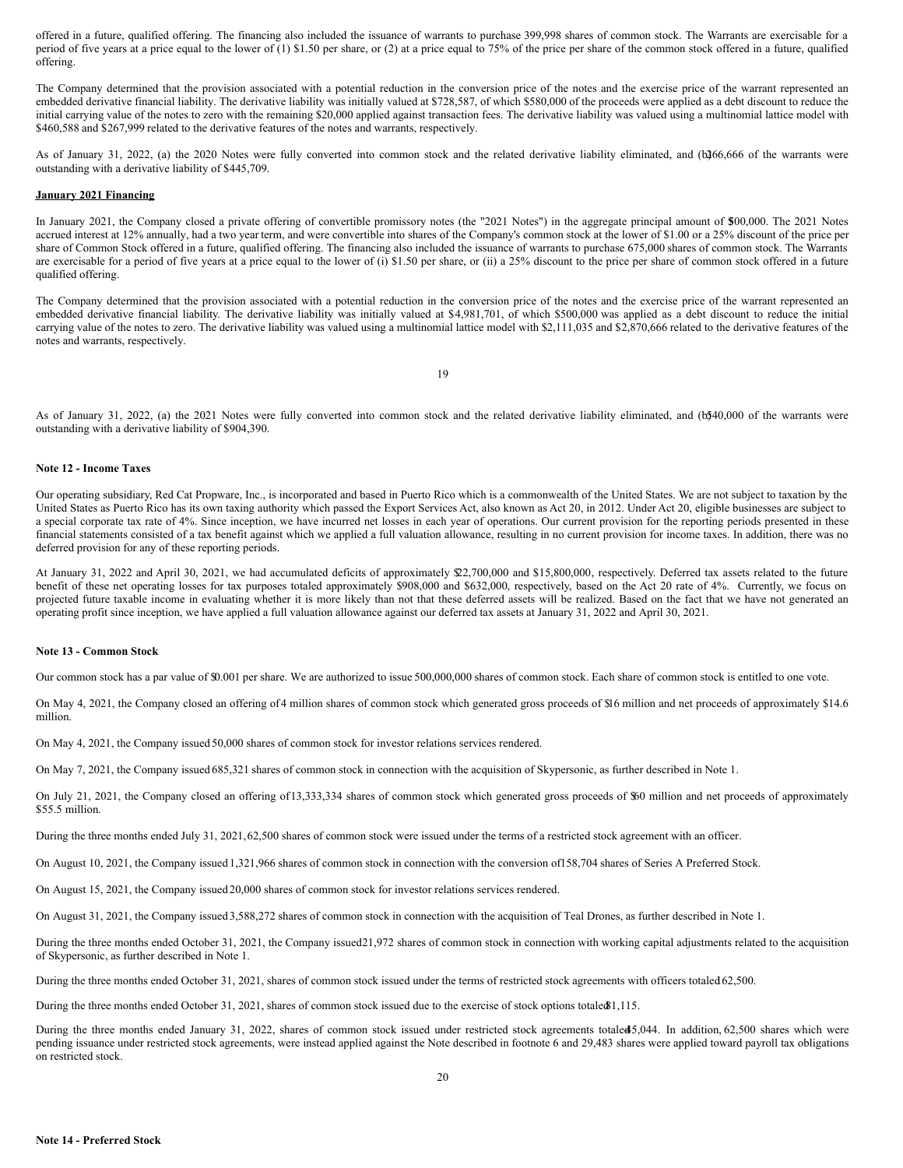offered in a future, qualified offering. The financing also included the issuance of warrants to purchase 399,998 shares of common stock. The Warrants are exercisable for a period of five years at a price equal to the lower of (1) \$1.50 per share, or (2) at a price equal to 75% of the price per share of the common stock offered in a future, qualified offering.

The Company determined that the provision associated with a potential reduction in the conversion price of the notes and the exercise price of the warrant represented an embedded derivative financial liability. The derivative liability was initially valued at \$728,587, of which \$580,000 of the proceeds were applied as a debt discount to reduce the initial carrying value of the notes to zero with the remaining \$20,000 applied against transaction fees. The derivative liability was valued using a multinomial lattice model with \$460,588 and \$267,999 related to the derivative features of the notes and warrants, respectively.

As of January 31, 2022, (a) the 2020 Notes were fully converted into common stock and the related derivative liability eliminated, and (b2)66,666 of the warrants were outstanding with a derivative liability of \$445,709.

## **January 2021 Financing**

In January 2021, the Company closed a private offering of convertible promissory notes (the "2021 Notes") in the aggregate principal amount of \$500,000. The 2021 Notes accrued interest at 12% annually, had a two year term, and were convertible into shares of the Company's common stock at the lower of \$1.00 or a 25% discount of the price per share of Common Stock offered in a future, qualified offering. The financing also included the issuance of warrants to purchase 675,000 shares of common stock. The Warrants are exercisable for a period of five years at a price equal to the lower of (i) \$1.50 per share, or (ii) a 25% discount to the price per share of common stock offered in a future qualified offering.

The Company determined that the provision associated with a potential reduction in the conversion price of the notes and the exercise price of the warrant represented an embedded derivative financial liability. The derivative liability was initially valued at \$4,981,701, of which \$500,000 was applied as a debt discount to reduce the initial carrying value of the notes to zero. The derivative liability was valued using a multinomial lattice model with \$2,111,035 and \$2,870,666 related to the derivative features of the notes and warrants, respectively.

19

As of January 31, 2022, (a) the 2021 Notes were fully converted into common stock and the related derivative liability eliminated, and (b540,000 of the warrants were outstanding with a derivative liability of \$904,390.

## **Note 12 - Income Taxes**

Our operating subsidiary, Red Cat Propware, Inc., is incorporated and based in Puerto Rico which is a commonwealth of the United States. We are not subject to taxation by the United States as Puerto Rico has its own taxing authority which passed the Export Services Act, also known as Act 20, in 2012. Under Act 20, eligible businesses are subject to a special corporate tax rate of 4%. Since inception, we have incurred net losses in each year of operations. Our current provision for the reporting periods presented in these financial statements consisted of a tax benefit against which we applied a full valuation allowance, resulting in no current provision for income taxes. In addition, there was no deferred provision for any of these reporting periods.

At January 31, 2022 and April 30, 2021, we had accumulated deficits of approximately \$2,700,000 and \$15,800,000, respectively. Deferred tax assets related to the future benefit of these net operating losses for tax purposes totaled approximately \$908,000 and \$632,000, respectively, based on the Act 20 rate of 4%. Currently, we focus on projected future taxable income in evaluating whether it is more likely than not that these deferred assets will be realized. Based on the fact that we have not generated an operating profit since inception, we have applied a full valuation allowance against our deferred tax assets at January 31, 2022 and April 30, 2021.

#### **Note 13 - Common Stock**

Our common stock has a par value of \$0.001 per share. We are authorized to issue 500,000,000 shares of common stock. Each share of common stock is entitled to one vote.

On May 4, 2021, the Company closed an offering of4 million shares of common stock which generated gross proceeds of \$16 million and net proceeds of approximately \$14.6 million.

On May 4, 2021, the Company issued 50,000 shares of common stock for investor relations services rendered.

On May 7, 2021, the Company issued 685,321 shares of common stock in connection with the acquisition of Skypersonic, as further described in Note 1.

On July 21, 2021, the Company closed an offering of13,333,334 shares of common stock which generated gross proceeds of \$60 million and net proceeds of approximately \$55.5 million.

During the three months ended July 31, 2021,62,500 shares of common stock were issued under the terms of a restricted stock agreement with an officer.

On August 10, 2021, the Company issued 1,321,966 shares of common stock in connection with the conversion of158,704 shares of Series A Preferred Stock.

On August 15, 2021, the Company issued 20,000 shares of common stock for investor relations services rendered.

On August 31, 2021, the Company issued 3,588,272 shares of common stock in connection with the acquisition of Teal Drones, as further described in Note 1.

During the three months ended October 31, 2021, the Company issued21,972 shares of common stock in connection with working capital adjustments related to the acquisition of Skypersonic, as further described in Note 1.

During the three months ended October 31, 2021, shares of common stock issued under the terms of restricted stock agreements with officers totaled 62,500.

During the three months ended October 31, 2021, shares of common stock issued due to the exercise of stock options totale \$1,115.

During the three months ended January 31, 2022, shares of common stock issued under restricted stock agreements totaled5,044. In addition, 62,500 shares which were pending issuance under restricted stock agreements, were instead applied against the Note described in footnote 6 and 29,483 shares were applied toward payroll tax obligations on restricted stock.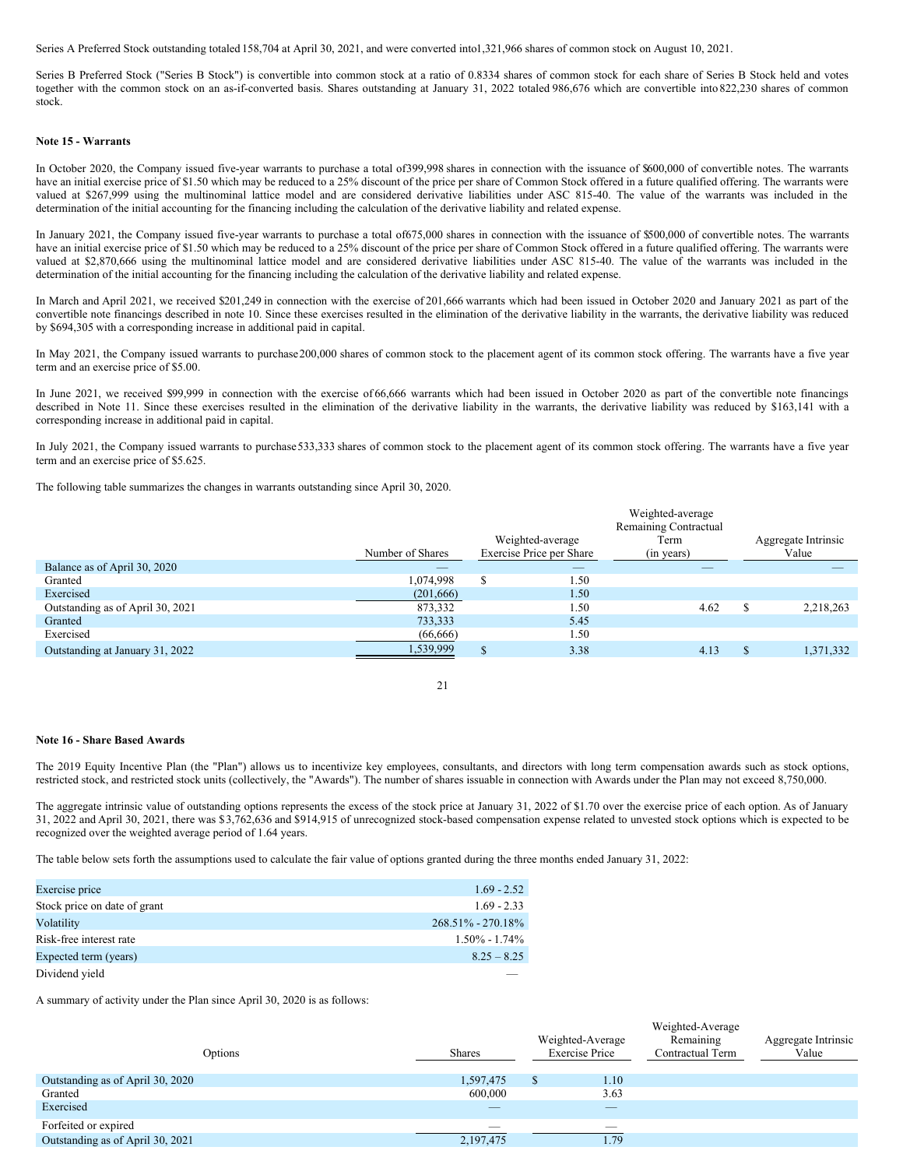Series A Preferred Stock outstanding totaled 158,704 at April 30, 2021, and were converted into1,321,966 shares of common stock on August 10, 2021.

Series B Preferred Stock ("Series B Stock") is convertible into common stock at a ratio of 0.8334 shares of common stock for each share of Series B Stock held and votes together with the common stock on an as-if-converted basis. Shares outstanding at January 31, 2022 totaled 986,676 which are convertible into 822,230 shares of common stock.

#### **Note 15 - Warrants**

In October 2020, the Company issued five-year warrants to purchase a total of399,998 shares in connection with the issuance of \$600,000 of convertible notes. The warrants have an initial exercise price of \$1.50 which may be reduced to a 25% discount of the price per share of Common Stock offered in a future qualified offering. The warrants were valued at \$267,999 using the multinominal lattice model and are considered derivative liabilities under ASC 815-40. The value of the warrants was included in the determination of the initial accounting for the financing including the calculation of the derivative liability and related expense.

In January 2021, the Company issued five-year warrants to purchase a total of675,000 shares in connection with the issuance of \$500,000 of convertible notes. The warrants have an initial exercise price of \$1.50 which may be reduced to a 25% discount of the price per share of Common Stock offered in a future qualified offering. The warrants were valued at \$2,870,666 using the multinominal lattice model and are considered derivative liabilities under ASC 815-40. The value of the warrants was included in the determination of the initial accounting for the financing including the calculation of the derivative liability and related expense.

In March and April 2021, we received \$201,249 in connection with the exercise of 201,666 warrants which had been issued in October 2020 and January 2021 as part of the convertible note financings described in note 10. Since these exercises resulted in the elimination of the derivative liability in the warrants, the derivative liability was reduced by \$694,305 with a corresponding increase in additional paid in capital.

In May 2021, the Company issued warrants to purchase 200,000 shares of common stock to the placement agent of its common stock offering. The warrants have a five year term and an exercise price of \$5.00.

In June 2021, we received \$99,999 in connection with the exercise of 66,666 warrants which had been issued in October 2020 as part of the convertible note financings described in Note 11. Since these exercises resulted in the elimination of the derivative liability in the warrants, the derivative liability was reduced by \$163,141 with a corresponding increase in additional paid in capital.

In July 2021, the Company issued warrants to purchase 533,333 shares of common stock to the placement agent of its common stock offering. The warrants have a five year term and an exercise price of \$5.625.

The following table summarizes the changes in warrants outstanding since April 30, 2020.

|                                  |                  | Weighted-average<br>Remaining Contractual |            |  |                     |  |
|----------------------------------|------------------|-------------------------------------------|------------|--|---------------------|--|
|                                  |                  | Weighted-average                          | Term       |  | Aggregate Intrinsic |  |
|                                  | Number of Shares | Exercise Price per Share                  | (in years) |  | Value               |  |
| Balance as of April 30, 2020     | _                | $-$                                       |            |  |                     |  |
| Granted                          | 1.074.998        | 1.50<br>-S                                |            |  |                     |  |
| Exercised                        | (201,666)        | 1.50                                      |            |  |                     |  |
| Outstanding as of April 30, 2021 | 873,332          | 1.50                                      | 4.62       |  | 2,218,263           |  |
| Granted                          | 733,333          | 5.45                                      |            |  |                     |  |
| Exercised                        | (66, 666)        | 1.50                                      |            |  |                     |  |
| Outstanding at January 31, 2022  | 1,539,999        | $\mathbf{s}$<br>3.38                      | 4.13       |  | 1,371,332           |  |

# 21

## **Note 16 - Share Based Awards**

The 2019 Equity Incentive Plan (the "Plan") allows us to incentivize key employees, consultants, and directors with long term compensation awards such as stock options, restricted stock, and restricted stock units (collectively, the "Awards"). The number of shares issuable in connection with Awards under the Plan may not exceed 8,750,000.

The aggregate intrinsic value of outstanding options represents the excess of the stock price at January 31, 2022 of \$1.70 over the exercise price of each option. As of January 31, 2022 and April 30, 2021, there was \$3,762,636 and \$914,915 of unrecognized stock-based compensation expense related to unvested stock options which is expected to be recognized over the weighted average period of 1.64 years.

The table below sets forth the assumptions used to calculate the fair value of options granted during the three months ended January 31, 2022:

| Exercise price               | $1.69 - 2.52$         |
|------------------------------|-----------------------|
| Stock price on date of grant | $1.69 - 2.33$         |
| Volatility                   | $268.51\% - 270.18\%$ |
| Risk-free interest rate      | $1.50\% - 1.74\%$     |
| Expected term (years)        | $8.25 - 8.25$         |
| Dividend yield               |                       |

A summary of activity under the Plan since April 30, 2020 is as follows:

| Options                          | <b>Shares</b>            | Weighted-Average<br><b>Exercise Price</b> | Weighted-Average<br>Remaining<br>Contractual Term | Aggregate Intrinsic<br>Value |
|----------------------------------|--------------------------|-------------------------------------------|---------------------------------------------------|------------------------------|
| Outstanding as of April 30, 2020 | 1,597,475                | 1.10                                      |                                                   |                              |
| Granted                          | 600,000                  | 3.63                                      |                                                   |                              |
| Exercised                        | $-$                      |                                           |                                                   |                              |
| Forfeited or expired             | $\overline{\phantom{a}}$ | _                                         |                                                   |                              |
| Outstanding as of April 30, 2021 | 2,197,475                | 1.79                                      |                                                   |                              |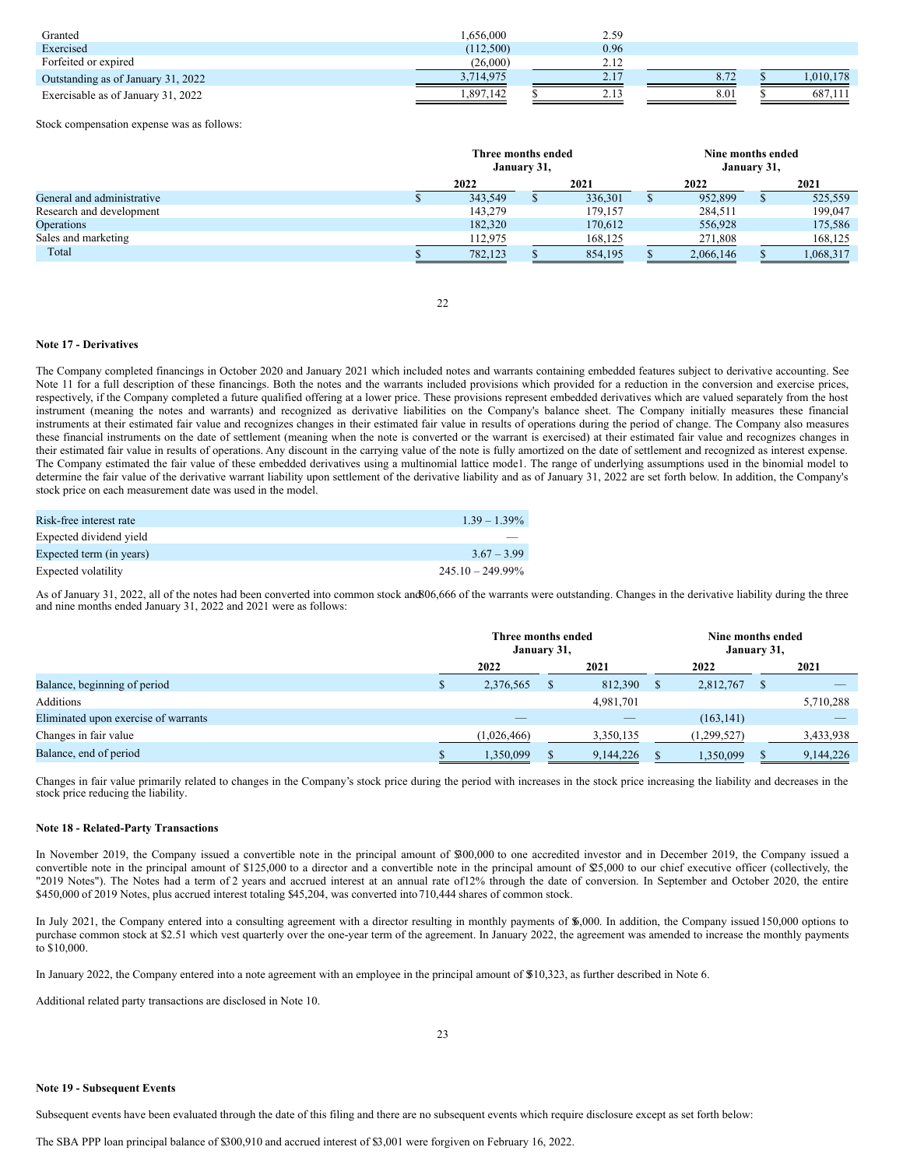| Granted                            | 1.656.000 | 2.59 |      |           |
|------------------------------------|-----------|------|------|-----------|
| Exercised                          | (112,500) | 0.96 |      |           |
| Forfeited or expired               | (26,000)  | 2.12 |      |           |
| Outstanding as of January 31, 2022 | 3,714,975 | 2.17 | 0.12 | 1,010,178 |
| Exercisable as of January 31, 2022 | 1.897.142 | 2.13 | 8.01 | 687.111   |

Stock compensation expense was as follows:

|                            | Three months ended<br>January 31, |  |         | Nine months ended<br>January 31, |  |           |  |
|----------------------------|-----------------------------------|--|---------|----------------------------------|--|-----------|--|
|                            | 2022                              |  | 2021    | 2022                             |  | 2021      |  |
| General and administrative | 343,549                           |  | 336,301 | 952,899                          |  | 525,559   |  |
| Research and development   | 143,279                           |  | 179,157 | 284,511                          |  | 199,047   |  |
| Operations                 | 182,320                           |  | 170.612 | 556,928                          |  | 175,586   |  |
| Sales and marketing        | 112.975                           |  | 168,125 | 271,808                          |  | 168,125   |  |
| Total                      | 782,123                           |  | 854,195 | 2,066,146                        |  | 1,068,317 |  |

22

### **Note 17 - Derivatives**

The Company completed financings in October 2020 and January 2021 which included notes and warrants containing embedded features subject to derivative accounting. See Note 11 for a full description of these financings. Both the notes and the warrants included provisions which provided for a reduction in the conversion and exercise prices, respectively, if the Company completed a future qualified offering at a lower price. These provisions represent embedded derivatives which are valued separately from the host instrument (meaning the notes and warrants) and recognized as derivative liabilities on the Company's balance sheet. The Company initially measures these financial instruments at their estimated fair value and recognizes changes in their estimated fair value in results of operations during the period of change. The Company also measures these financial instruments on the date of settlement (meaning when the note is converted or the warrant is exercised) at their estimated fair value and recognizes changes in their estimated fair value in results of operations. Any discount in the carrying value of the note is fully amortized on the date of settlement and recognized as interest expense. The Company estimated the fair value of these embedded derivatives using a multinomial lattice mode1. The range of underlying assumptions used in the binomial model to determine the fair value of the derivative warrant liability upon settlement of the derivative liability and as of January 31, 2022 are set forth below. In addition, the Company's stock price on each measurement date was used in the model.

| Risk-free interest rate  | $1.39 - 1.39\%$     |
|--------------------------|---------------------|
| Expected dividend yield  |                     |
| Expected term (in years) | $3.67 - 3.99$       |
| Expected volatility      | $245.10 - 249.99\%$ |

As of January 31, 2022, all of the notes had been converted into common stock and 806,666 of the warrants were outstanding. Changes in the derivative liability during the three and nine months ended January 31, 2022 and 2021 were as follows:

|                                      | Three months ended<br>January 31, |  | Nine months ended<br>January 31, |  |             |   |           |
|--------------------------------------|-----------------------------------|--|----------------------------------|--|-------------|---|-----------|
|                                      | 2022                              |  | 2021                             |  | 2022        |   | 2021      |
| Balance, beginning of period         | 2,376,565                         |  | 812,390                          |  | 2,812,767   | S |           |
| Additions                            |                                   |  | 4,981,701                        |  |             |   | 5,710,288 |
| Eliminated upon exercise of warrants | _                                 |  |                                  |  | (163, 141)  |   | _         |
| Changes in fair value                | (1,026,466)                       |  | 3,350,135                        |  | (1,299,527) |   | 3,433,938 |
| Balance, end of period               | 1,350,099                         |  | 9,144,226                        |  | 1,350,099   |   | 9,144,226 |

Changes in fair value primarily related to changes in the Company's stock price during the period with increases in the stock price increasing the liability and decreases in the stock price reducing the liability.

### **Note 18 - Related-Party Transactions**

In November 2019, the Company issued a convertible note in the principal amount of \$300,000 to one accredited investor and in December 2019, the Company issued a convertible note in the principal amount of \$125,000 to a director and a convertible note in the principal amount of \$25,000 to our chief executive officer (collectively, the "2019 Notes"). The Notes had a term of 2 years and accrued interest at an annual rate of12% through the date of conversion. In September and October 2020, the entire \$450,000 of 2019 Notes, plus accrued interest totaling \$45,204, was converted into710,444 shares of common stock.

In July 2021, the Company entered into a consulting agreement with a director resulting in monthly payments of \$,000. In addition, the Company issued 150,000 options to purchase common stock at \$2.51 which vest quarterly over the one-year term of the agreement. In January 2022, the agreement was amended to increase the monthly payments to \$10,000.

In January 2022, the Company entered into a note agreement with an employee in the principal amount of \$510,323, as further described in Note 6.

Additional related party transactions are disclosed in Note 10.

#### **Note 19 - Subsequent Events**

Subsequent events have been evaluated through the date of this filing and there are no subsequent events which require disclosure except as set forth below: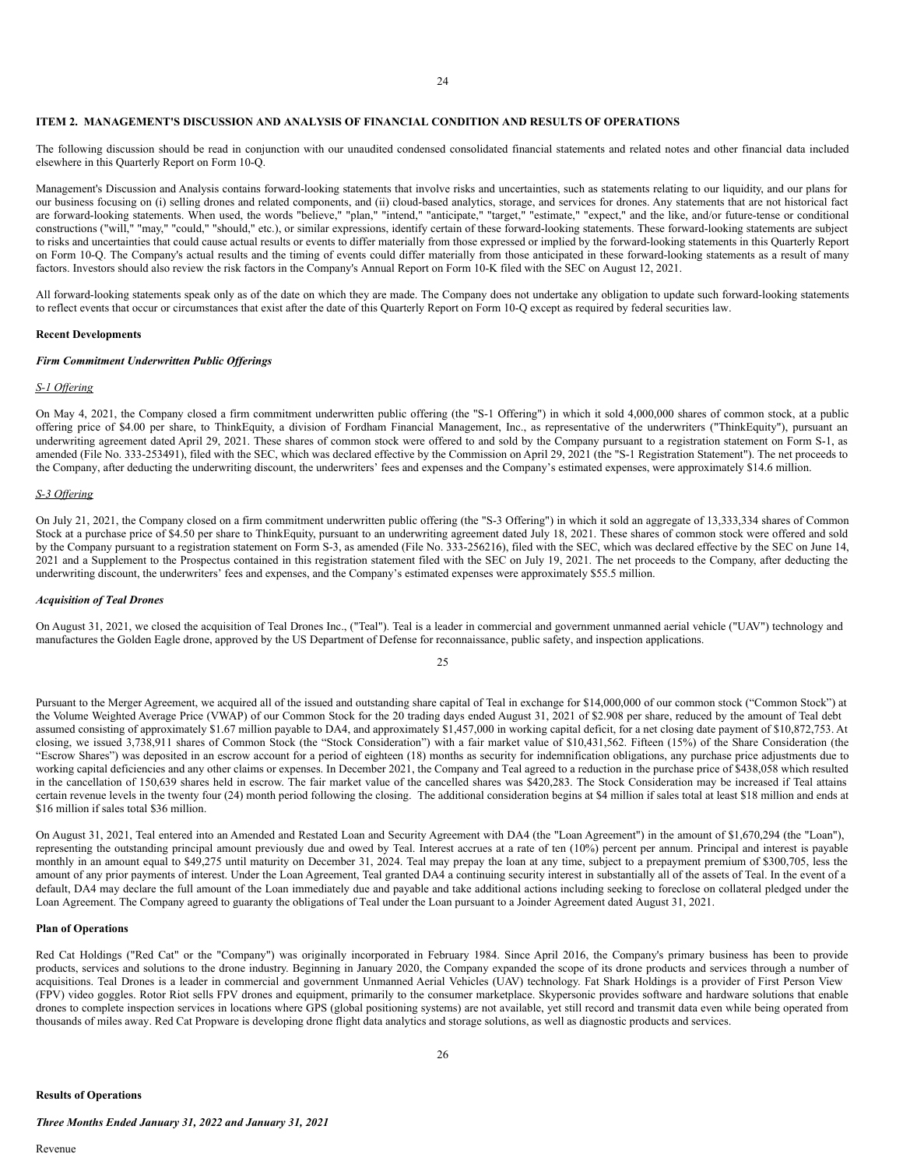## **ITEM 2. MANAGEMENT'S DISCUSSION AND ANALYSIS OF FINANCIAL CONDITION AND RESULTS OF OPERATIONS**

The following discussion should be read in conjunction with our unaudited condensed consolidated financial statements and related notes and other financial data included elsewhere in this Quarterly Report on Form 10-Q.

Management's Discussion and Analysis contains forward-looking statements that involve risks and uncertainties, such as statements relating to our liquidity, and our plans for our business focusing on (i) selling drones and related components, and (ii) cloud-based analytics, storage, and services for drones. Any statements that are not historical fact are forward-looking statements. When used, the words "believe," "plan," "intend," "anticipate," "arget," "estimate," "expect," and the like, and/or future-tense or conditional constructions ("will," "may," "could," "should," etc.), or similar expressions, identify certain of these forward-looking statements. These forward-looking statements are subject to risks and uncertainties that could cause actual results or events to differ materially from those expressed or implied by the forward-looking statements in this Quarterly Report on Form 10-Q. The Company's actual results and the timing of events could differ materially from those anticipated in these forward-looking statements as a result of many factors. Investors should also review the risk factors in the Company's Annual Report on Form 10-K filed with the SEC on August 12, 2021.

All forward-looking statements speak only as of the date on which they are made. The Company does not undertake any obligation to update such forward-looking statements to reflect events that occur or circumstances that exist after the date of this Quarterly Report on Form 10-Q except as required by federal securities law.

#### **Recent Developments**

#### *Firm Commitment Underwritten Public Of erings*

#### *S-1 Of ering*

On May 4, 2021, the Company closed a firm commitment underwritten public offering (the "S-1 Offering") in which it sold 4,000,000 shares of common stock, at a public offering price of \$4.00 per share, to ThinkEquity, a division of Fordham Financial Management, Inc., as representative of the underwriters ("ThinkEquity"), pursuant an underwriting agreement dated April 29, 2021. These shares of common stock were offered to and sold by the Company pursuant to a registration statement on Form S-1, as amended (File No. 333-253491), filed with the SEC, which was declared effective by the Commission on April 29, 2021 (the "S-1 Registration Statement"). The net proceeds to the Company, after deducting the underwriting discount, the underwriters' fees and expenses and the Company's estimated expenses, were approximately \$14.6 million.

#### *S-3 Of ering*

On July 21, 2021, the Company closed on a firm commitment underwritten public offering (the "S-3 Offering") in which it sold an aggregate of 13,333,334 shares of Common Stock at a purchase price of \$4.50 per share to ThinkEquity, pursuant to an underwriting agreement dated July 18, 2021. These shares of common stock were offered and sold by the Company pursuant to a registration statement on Form S-3, as amended (File No. 333-256216), filed with the SEC, which was declared effective by the SEC on June 14, 2021 and a Supplement to the Prospectus contained in this registration statement filed with the SEC on July 19, 2021. The net proceeds to the Company, after deducting the underwriting discount, the underwriters' fees and expenses, and the Company's estimated expenses were approximately \$55.5 million.

### *Acquisition of Teal Drones*

On August 31, 2021, we closed the acquisition of Teal Drones Inc., ("Teal"). Teal is a leader in commercial and government unmanned aerial vehicle ("UAV") technology and manufactures the Golden Eagle drone, approved by the US Department of Defense for reconnaissance, public safety, and inspection applications.

25

Pursuant to the Merger Agreement, we acquired all of the issued and outstanding share capital of Teal in exchange for \$14,000,000 of our common stock ("Common Stock") at the Volume Weighted Average Price (VWAP) of our Common Stock for the 20 trading days ended August 31, 2021 of \$2.908 per share, reduced by the amount of Teal debt assumed consisting of approximately \$1.67 million payable to DA4, and approximately \$1,457,000 in working capital deficit, for a net closing date payment of \$10,872,753. At closing, we issued 3,738,911 shares of Common Stock (the "Stock Consideration") with a fair market value of \$10,431,562. Fifteen (15%) of the Share Consideration (the "Escrow Shares") was deposited in an escrow account for a period of eighteen (18) months as security for indemnification obligations, any purchase price adjustments due to working capital deficiencies and any other claims or expenses. In December 2021, the Company and Teal agreed to a reduction in the purchase price of \$438,058 which resulted in the cancellation of 150,639 shares held in escrow. The fair market value of the cancelled shares was \$420,283. The Stock Consideration may be increased if Teal attains certain revenue levels in the twenty four (24) month period following the closing. The additional consideration begins at \$4 million if sales total at least \$18 million and ends at \$16 million if sales total \$36 million.

On August 31, 2021, Teal entered into an Amended and Restated Loan and Security Agreement with DA4 (the "Loan Agreement") in the amount of \$1,670,294 (the "Loan"), representing the outstanding principal amount previously due and owed by Teal. Interest accrues at a rate of ten (10%) percent per annum. Principal and interest is payable monthly in an amount equal to \$49,275 until maturity on December 31, 2024. Teal may prepay the loan at any time, subject to a prepayment premium of \$300,705, less the amount of any prior payments of interest. Under the Loan Agreement, Teal granted DA4 a continuing security interest in substantially all of the assets of Teal. In the event of a default, DA4 may declare the full amount of the Loan immediately due and payable and take additional actions including seeking to foreclose on collateral pledged under the Loan Agreement. The Company agreed to guaranty the obligations of Teal under the Loan pursuant to a Joinder Agreement dated August 31, 2021.

#### **Plan of Operations**

Red Cat Holdings ("Red Cat" or the "Company") was originally incorporated in February 1984. Since April 2016, the Company's primary business has been to provide products, services and solutions to the drone industry. Beginning in January 2020, the Company expanded the scope of its drone products and services through a number of acquisitions. Teal Drones is a leader in commercial and government Unmanned Aerial Vehicles (UAV) technology. Fat Shark Holdings is a provider of First Person View (FPV) video goggles. Rotor Riot sells FPV drones and equipment, primarily to the consumer marketplace. Skypersonic provides software and hardware solutions that enable drones to complete inspection services in locations where GPS (global positioning systems) are not available, yet still record and transmit data even while being operated from thousands of miles away. Red Cat Propware is developing drone flight data analytics and storage solutions, as well as diagnostic products and services.

*Three Months Ended January 31, 2022 and January 31, 2021*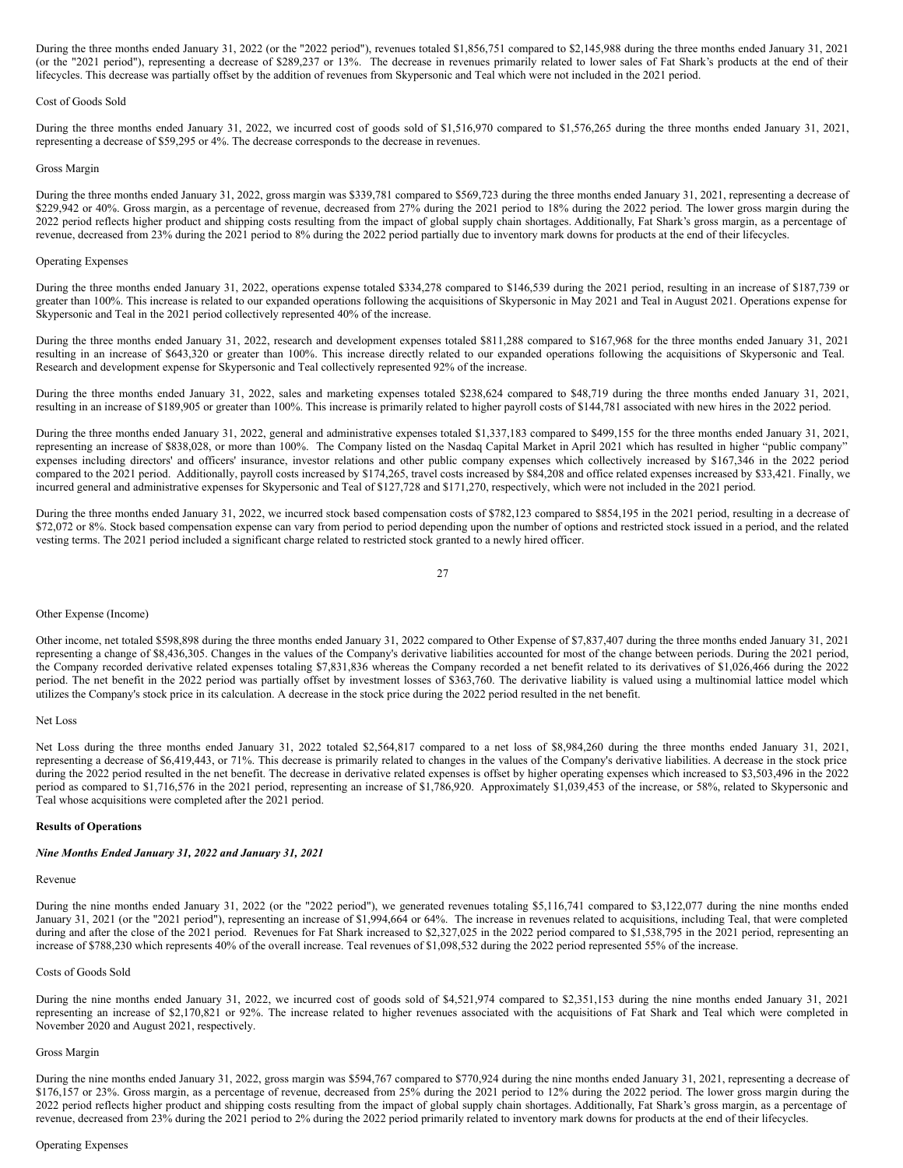During the three months ended January 31, 2022 (or the "2022 period"), revenues totaled \$1,856,751 compared to \$2,145,988 during the three months ended January 31, 2021 (or the "2021 period"), representing a decrease of \$289,237 or 13%. The decrease in revenues primarily related to lower sales of Fat Shark's products at the end of their lifecycles. This decrease was partially offset by the addition of revenues from Skypersonic and Teal which were not included in the 2021 period.

#### Cost of Goods Sold

During the three months ended January 31, 2022, we incurred cost of goods sold of \$1,516,970 compared to \$1,576,265 during the three months ended January 31, 2021, representing a decrease of \$59,295 or 4%. The decrease corresponds to the decrease in revenues.

#### Gross Margin

During the three months ended January 31, 2022, gross margin was \$339,781 compared to \$569,723 during the three months ended January 31, 2021, representing a decrease of \$229,942 or 40%. Gross margin, as a percentage of revenue, decreased from 27% during the 2021 period to 18% during the 2022 period. The lower gross margin during the 2022 period reflects higher product and shipping costs resulting from the impact of global supply chain shortages. Additionally, Fat Shark's gross margin, as a percentage of revenue, decreased from 23% during the 2021 period to 8% during the 2022 period partially due to inventory mark downs for products at the end of their lifecycles.

#### Operating Expenses

During the three months ended January 31, 2022, operations expense totaled \$334,278 compared to \$146,539 during the 2021 period, resulting in an increase of \$187,739 or greater than 100%. This increase is related to our expanded operations following the acquisitions of Skypersonic in May 2021 and Teal in August 2021. Operations expense for Skypersonic and Teal in the 2021 period collectively represented 40% of the increase.

During the three months ended January 31, 2022, research and development expenses totaled \$811,288 compared to \$167,968 for the three months ended January 31, 2021 resulting in an increase of \$643,320 or greater than 100%. This increase directly related to our expanded operations following the acquisitions of Skypersonic and Teal. Research and development expense for Skypersonic and Teal collectively represented 92% of the increase.

During the three months ended January 31, 2022, sales and marketing expenses totaled \$238,624 compared to \$48,719 during the three months ended January 31, 2021, resulting in an increase of \$189,905 or greater than 100%. This increase is primarily related to higher payroll costs of \$144,781 associated with new hires in the 2022 period.

During the three months ended January 31, 2022, general and administrative expenses totaled \$1,337,183 compared to \$499,155 for the three months ended January 31, 2021, representing an increase of \$838,028, or more than 100%. The Company listed on the Nasdaq Capital Market in April 2021 which has resulted in higher "public company" expenses including directors' and officers' insurance, investor relations and other public company expenses which collectively increased by \$167,346 in the 2022 period compared to the 2021 period. Additionally, payroll costs increased by \$174,265, travel costs increased by \$84,208 and office related expenses increased by \$33,421. Finally, we incurred general and administrative expenses for Skypersonic and Teal of \$127,728 and \$171,270, respectively, which were not included in the 2021 period.

During the three months ended January 31, 2022, we incurred stock based compensation costs of \$782,123 compared to \$854,195 in the 2021 period, resulting in a decrease of \$72,072 or 8%. Stock based compensation expense can vary from period to period depending upon the number of options and restricted stock issued in a period, and the related vesting terms. The 2021 period included a significant charge related to restricted stock granted to a newly hired officer.

$$
27\quad
$$

### Other Expense (Income)

Other income, net totaled \$598,898 during the three months ended January 31, 2022 compared to Other Expense of \$7,837,407 during the three months ended January 31, 2021 representing a change of \$8,436,305. Changes in the values of the Company's derivative liabilities accounted for most of the change between periods. During the 2021 period, the Company recorded derivative related expenses totaling \$7,831,836 whereas the Company recorded a net benefit related to its derivatives of \$1,026,466 during the 2022 period. The net benefit in the 2022 period was partially offset by investment losses of \$363,760. The derivative liability is valued using a multinomial lattice model which utilizes the Company's stock price in its calculation. A decrease in the stock price during the 2022 period resulted in the net benefit.

## Net Loss

Net Loss during the three months ended January 31, 2022 totaled \$2,564,817 compared to a net loss of \$8,984,260 during the three months ended January 31, 2021, representing a decrease of \$6,419,443, or 71%. This decrease is primarily related to changes in the values of the Company's derivative liabilities. A decrease in the stock price during the 2022 period resulted in the net benefit. The decrease in derivative related expenses is offset by higher operating expenses which increased to \$3,503,496 in the 2022 period as compared to \$1,716,576 in the 2021 period, representing an increase of \$1,786,920. Approximately \$1,039,453 of the increase, or 58%, related to Skypersonic and Teal whose acquisitions were completed after the 2021 period.

#### **Results of Operations**

## *Nine Months Ended January 31, 2022 and January 31, 2021*

## Revenue

During the nine months ended January 31, 2022 (or the "2022 period"), we generated revenues totaling \$5,116,741 compared to \$3,122,077 during the nine months ended January 31, 2021 (or the "2021 period"), representing an increase of \$1,994,664 or 64%. The increase in revenues related to acquisitions, including Teal, that were completed during and after the close of the 2021 period. Revenues for Fat Shark increased to \$2,327,025 in the 2022 period compared to \$1,538,795 in the 2021 period, representing an increase of \$788,230 which represents 40% of the overall increase. Teal revenues of \$1,098,532 during the 2022 period represented 55% of the increase.

## Costs of Goods Sold

During the nine months ended January 31, 2022, we incurred cost of goods sold of \$4,521,974 compared to \$2,351,153 during the nine months ended January 31, 2021 representing an increase of \$2,170,821 or 92%. The increase related to higher revenues associated with the acquisitions of Fat Shark and Teal which were completed in November 2020 and August 2021, respectively.

## Gross Margin

During the nine months ended January 31, 2022, gross margin was \$594,767 compared to \$770,924 during the nine months ended January 31, 2021, representing a decrease of \$176,157 or 23%. Gross margin, as a percentage of revenue, decreased from 25% during the 2021 period to 12% during the 2022 period. The lower gross margin during the 2022 period reflects higher product and shipping costs resulting from the impact of global supply chain shortages. Additionally, Fat Shark's gross margin, as a percentage of revenue, decreased from 23% during the 2021 period to 2% during the 2022 period primarily related to inventory mark downs for products at the end of their lifecycles.

## Operating Expenses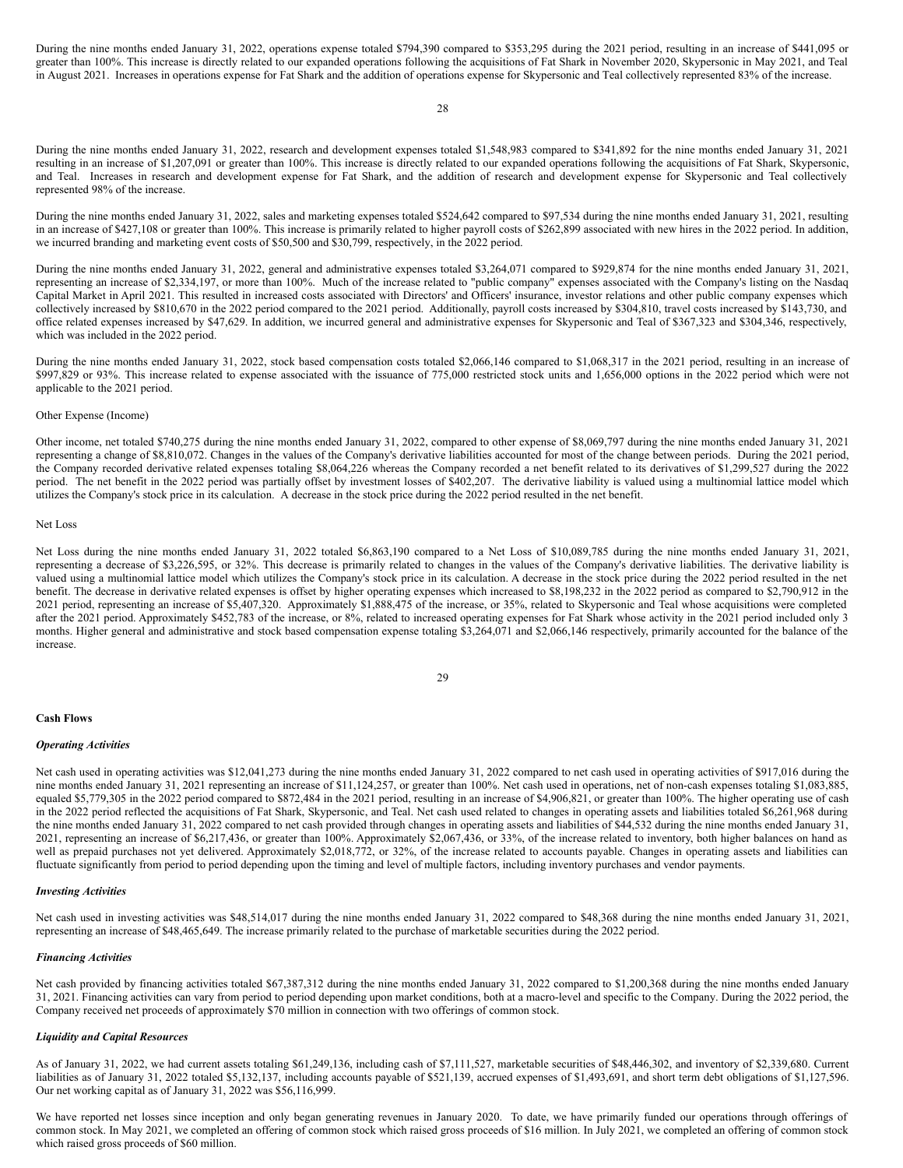During the nine months ended January 31, 2022, operations expense totaled \$794,390 compared to \$353,295 during the 2021 period, resulting in an increase of \$441,095 or greater than 100%. This increase is directly related to our expanded operations following the acquisitions of Fat Shark in November 2020, Skypersonic in May 2021, and Teal in August 2021. Increases in operations expense for Fat Shark and the addition of operations expense for Skypersonic and Teal collectively represented 83% of the increase.

28

During the nine months ended January 31, 2022, research and development expenses totaled \$1,548,983 compared to \$341,892 for the nine months ended January 31, 2021 resulting in an increase of \$1,207,091 or greater than 100%. This increase is directly related to our expanded operations following the acquisitions of Fat Shark, Skypersonic, and Teal. Increases in research and development expense for Fat Shark, and the addition of research and development expense for Skypersonic and Teal collectively represented 98% of the increase.

During the nine months ended January 31, 2022, sales and marketing expenses totaled \$524,642 compared to \$97,534 during the nine months ended January 31, 2021, resulting in an increase of \$427,108 or greater than 100%. This increase is primarily related to higher payroll costs of \$262,899 associated with new hires in the 2022 period. In addition, we incurred branding and marketing event costs of \$50,500 and \$30,799, respectively, in the 2022 period.

During the nine months ended January 31, 2022, general and administrative expenses totaled \$3,264,071 compared to \$929,874 for the nine months ended January 31, 2021, representing an increase of \$2,334,197, or more than 100%. Much of the increase related to "public company" expenses associated with the Company's listing on the Nasdaq Capital Market in April 2021. This resulted in increased costs associated with Directors' and Officers' insurance, investor relations and other public company expenses which collectively increased by \$810,670 in the 2022 period compared to the 2021 period. Additionally, payroll costs increased by \$304,810, travel costs increased by \$143,730, and office related expenses increased by \$47,629. In addition, we incurred general and administrative expenses for Skypersonic and Teal of \$367,323 and \$304,346, respectively, which was included in the 2022 period.

During the nine months ended January 31, 2022, stock based compensation costs totaled \$2,066,146 compared to \$1,068,317 in the 2021 period, resulting in an increase of \$997,829 or 93%. This increase related to expense associated with the issuance of 775,000 restricted stock units and 1,656,000 options in the 2022 period which were not applicable to the 2021 period.

### Other Expense (Income)

Other income, net totaled \$740,275 during the nine months ended January 31, 2022, compared to other expense of \$8,069,797 during the nine months ended January 31, 2021 representing a change of \$8,810,072. Changes in the values of the Company's derivative liabilities accounted for most of the change between periods. During the 2021 period, the Company recorded derivative related expenses totaling \$8,064,226 whereas the Company recorded a net benefit related to its derivatives of \$1,299,527 during the 2022 period. The net benefit in the 2022 period was partially offset by investment losses of \$402,207. The derivative liability is valued using a multinomial lattice model which utilizes the Company's stock price in its calculation. A decrease in the stock price during the 2022 period resulted in the net benefit.

## Net Loss

Net Loss during the nine months ended January 31, 2022 totaled \$6,863,190 compared to a Net Loss of \$10,089,785 during the nine months ended January 31, 2021, representing a decrease of \$3,226,595, or 32%. This decrease is primarily related to changes in the values of the Company's derivative liabilities. The derivative liability is valued using a multinomial lattice model which utilizes the Company's stock price in its calculation. A decrease in the stock price during the 2022 period resulted in the net benefit. The decrease in derivative related expenses is offset by higher operating expenses which increased to \$8,198,232 in the 2022 period as compared to \$2,790,912 in the 2021 period, representing an increase of \$5,407,320. Approximately \$1,888,475 of the increase, or 35%, related to Skypersonic and Teal whose acquisitions were completed after the 2021 period. Approximately \$452,783 of the increase, or 8%, related to increased operating expenses for Fat Shark whose activity in the 2021 period included only 3 months. Higher general and administrative and stock based compensation expense totaling \$3,264,071 and \$2,066,146 respectively, primarily accounted for the balance of the increase.

| ł |                         |
|---|-------------------------|
| I | I<br>۰,<br>I<br>I<br>۰. |

#### **Cash Flows**

#### *Operating Activities*

Net cash used in operating activities was \$12,041,273 during the nine months ended January 31, 2022 compared to net cash used in operating activities of \$917,016 during the nine months ended January 31, 2021 representing an increase of \$11,124,257, or greater than 100%. Net cash used in operations, net of non-cash expenses totaling \$1,083,885, equaled \$5,779,305 in the 2022 period compared to \$872,484 in the 2021 period, resulting in an increase of \$4,906,821, or greater than 100%. The higher operating use of cash in the 2022 period reflected the acquisitions of Fat Shark, Skypersonic, and Teal. Net cash used related to changes in operating assets and liabilities totaled \$6,261,968 during the nine months ended January 31, 2022 compared to net cash provided through changes in operating assets and liabilities of \$44,532 during the nine months ended January 31, 2021, representing an increase of \$6,217,436, or greater than 100%. Approximately \$2,067,436, or 33%, of the increase related to inventory, both higher balances on hand as well as prepaid purchases not yet delivered. Approximately \$2,018,772, or 32%, of the increase related to accounts payable. Changes in operating assets and liabilities can fluctuate significantly from period to period depending upon the timing and level of multiple factors, including inventory purchases and vendor payments.

#### *Investing Activities*

Net cash used in investing activities was \$48,514,017 during the nine months ended January 31, 2022 compared to \$48,368 during the nine months ended January 31, 2021, representing an increase of \$48,465,649. The increase primarily related to the purchase of marketable securities during the 2022 period.

#### *Financing Activities*

Net cash provided by financing activities totaled \$67,387,312 during the nine months ended January 31, 2022 compared to \$1,200,368 during the nine months ended January 31, 2021. Financing activities can vary from period to period depending upon market conditions, both at a macro-level and specific to the Company. During the 2022 period, the Company received net proceeds of approximately \$70 million in connection with two offerings of common stock.

## *Liquidity and Capital Resources*

As of January 31, 2022, we had current assets totaling \$61,249,136, including cash of \$7,111,527, marketable securities of \$48,446,302, and inventory of \$2,339,680. Current liabilities as of January 31, 2022 totaled \$5,132,137, including accounts payable of \$521,139, accrued expenses of \$1,493,691, and short term debt obligations of \$1,127,596. Our net working capital as of January 31, 2022 was \$56,116,999.

We have reported net losses since inception and only began generating revenues in January 2020. To date, we have primarily funded our operations through offerings of common stock. In May 2021, we completed an offering of common stock which raised gross proceeds of \$16 million. In July 2021, we completed an offering of common stock which raised gross proceeds of \$60 million.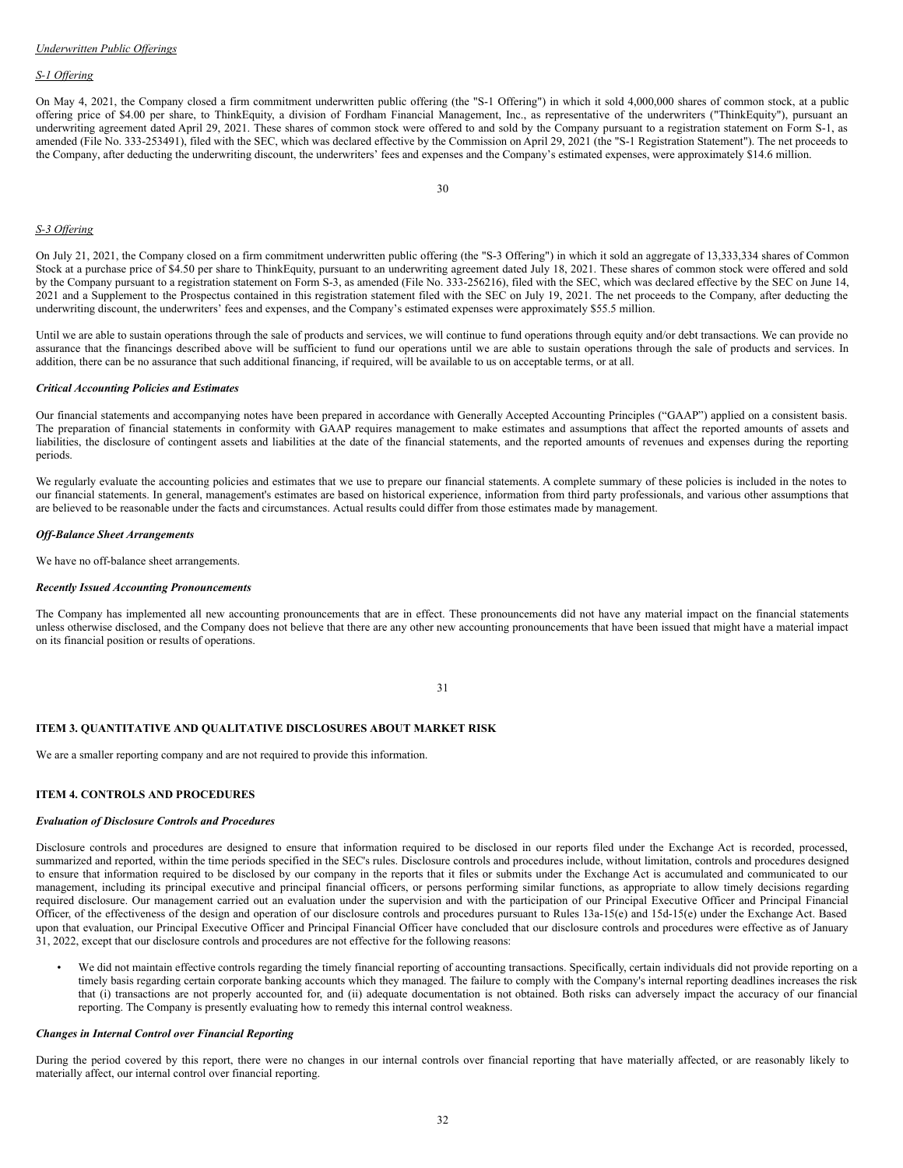### *S-1 Of ering*

On May 4, 2021, the Company closed a firm commitment underwritten public offering (the "S-1 Offering") in which it sold 4,000,000 shares of common stock, at a public offering price of \$4.00 per share, to ThinkEquity, a division of Fordham Financial Management, Inc., as representative of the underwriters ("ThinkEquity"), pursuant an underwriting agreement dated April 29, 2021. These shares of common stock were offered to and sold by the Company pursuant to a registration statement on Form S-1, as amended (File No. 333-253491), filed with the SEC, which was declared effective by the Commission on April 29, 2021 (the "S-1 Registration Statement"). The net proceeds to the Company, after deducting the underwriting discount, the underwriters' fees and expenses and the Company's estimated expenses, were approximately \$14.6 million.

#### *S-3 Of ering*

On July 21, 2021, the Company closed on a firm commitment underwritten public offering (the "S-3 Offering") in which it sold an aggregate of 13,333,334 shares of Common Stock at a purchase price of \$4.50 per share to ThinkEquity, pursuant to an underwriting agreement dated July 18, 2021. These shares of common stock were offered and sold by the Company pursuant to a registration statement on Form S-3, as amended (File No. 333-256216), filed with the SEC, which was declared effective by the SEC on June 14, 2021 and a Supplement to the Prospectus contained in this registration statement filed with the SEC on July 19, 2021. The net proceeds to the Company, after deducting the underwriting discount, the underwriters' fees and expenses, and the Company's estimated expenses were approximately \$55.5 million.

Until we are able to sustain operations through the sale of products and services, we will continue to fund operations through equity and/or debt transactions. We can provide no assurance that the financings described above will be sufficient to fund our operations until we are able to sustain operations through the sale of products and services. In addition, there can be no assurance that such additional financing, if required, will be available to us on acceptable terms, or at all.

#### *Critical Accounting Policies and Estimates*

Our financial statements and accompanying notes have been prepared in accordance with Generally Accepted Accounting Principles ("GAAP") applied on a consistent basis. The preparation of financial statements in conformity with GAAP requires management to make estimates and assumptions that affect the reported amounts of assets and liabilities, the disclosure of contingent assets and liabilities at the date of the financial statements, and the reported amounts of revenues and expenses during the reporting periods.

We regularly evaluate the accounting policies and estimates that we use to prepare our financial statements. A complete summary of these policies is included in the notes to our financial statements. In general, management's estimates are based on historical experience, information from third party professionals, and various other assumptions that are believed to be reasonable under the facts and circumstances. Actual results could differ from those estimates made by management.

#### *Of -Balance Sheet Arrangements*

We have no off-balance sheet arrangements.

#### *Recently Issued Accounting Pronouncements*

The Company has implemented all new accounting pronouncements that are in effect. These pronouncements did not have any material impact on the financial statements unless otherwise disclosed, and the Company does not believe that there are any other new accounting pronouncements that have been issued that might have a material impact on its financial position or results of operations.

## **ITEM 3. QUANTITATIVE AND QUALITATIVE DISCLOSURES ABOUT MARKET RISK**

We are a smaller reporting company and are not required to provide this information.

## **ITEM 4. CONTROLS AND PROCEDURES**

### *Evaluation of Disclosure Controls and Procedures*

Disclosure controls and procedures are designed to ensure that information required to be disclosed in our reports filed under the Exchange Act is recorded, processed, summarized and reported, within the time periods specified in the SEC's rules. Disclosure controls and procedures include, without limitation, controls and procedures designed to ensure that information required to be disclosed by our company in the reports that it files or submits under the Exchange Act is accumulated and communicated to our management, including its principal executive and principal financial officers, or persons performing similar functions, as appropriate to allow timely decisions regarding required disclosure. Our management carried out an evaluation under the supervision and with the participation of our Principal Executive Officer and Principal Financial Officer, of the effectiveness of the design and operation of our disclosure controls and procedures pursuant to Rules 13a-15(e) and 15d-15(e) under the Exchange Act. Based upon that evaluation, our Principal Executive Officer and Principal Financial Officer have concluded that our disclosure controls and procedures were effective as of January 31, 2022, except that our disclosure controls and procedures are not effective for the following reasons:

• We did not maintain effective controls regarding the timely financial reporting of accounting transactions. Specifically, certain individuals did not provide reporting on a timely basis regarding certain corporate banking accounts which they managed. The failure to comply with the Company's internal reporting deadlines increases the risk that (i) transactions are not properly accounted for, and (ii) adequate documentation is not obtained. Both risks can adversely impact the accuracy of our financial reporting. The Company is presently evaluating how to remedy this internal control weakness.

## *Changes in Internal Control over Financial Reporting*

During the period covered by this report, there were no changes in our internal controls over financial reporting that have materially affected, or are reasonably likely to materially affect, our internal control over financial reporting.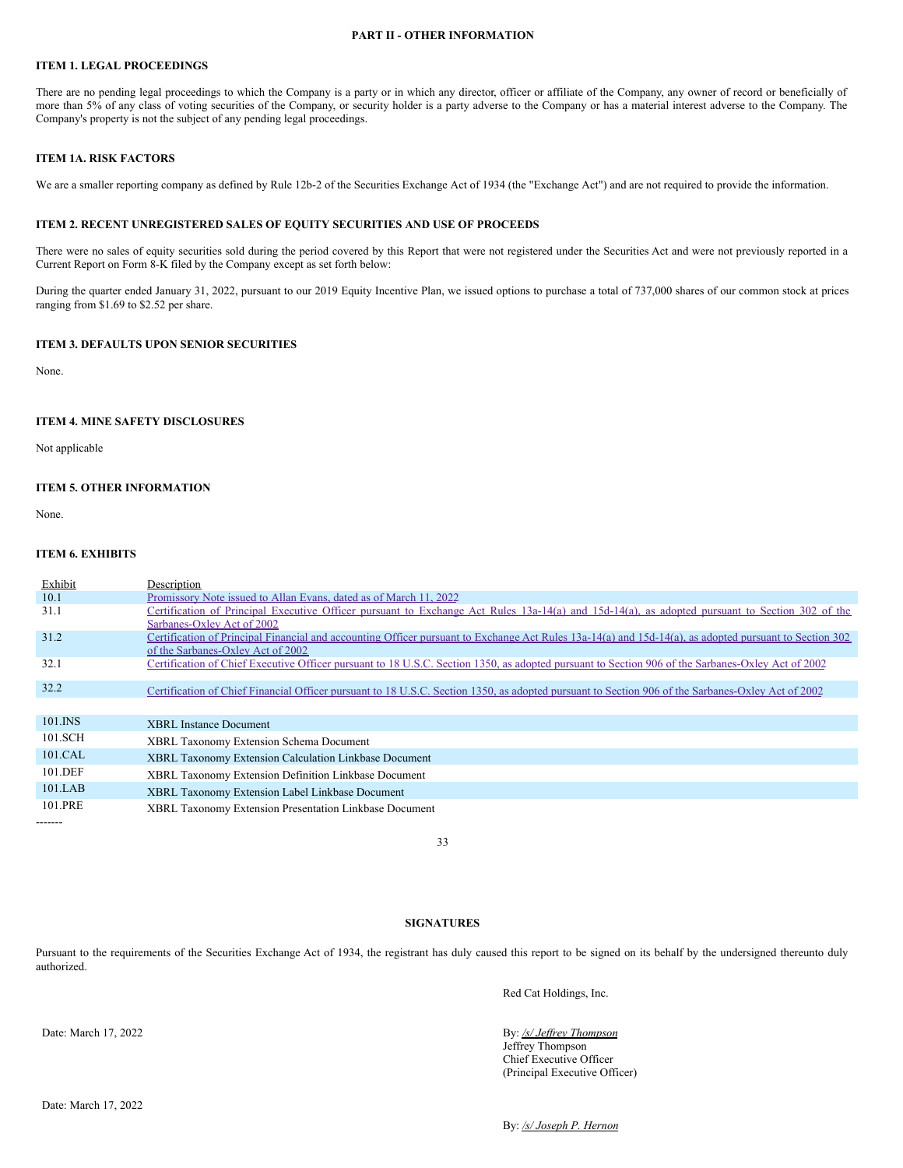## **PART II - OTHER INFORMATION**

## **ITEM 1. LEGAL PROCEEDINGS**

There are no pending legal proceedings to which the Company is a party or in which any director, officer or affiliate of the Company, any owner of record or beneficially of more than 5% of any class of voting securities of the Company, or security holder is a party adverse to the Company or has a material interest adverse to the Company. The Company's property is not the subject of any pending legal proceedings.

#### **ITEM 1A. RISK FACTORS**

We are a smaller reporting company as defined by Rule 12b-2 of the Securities Exchange Act of 1934 (the "Exchange Act") and are not required to provide the information.

### **ITEM 2. RECENT UNREGISTERED SALES OF EQUITY SECURITIES AND USE OF PROCEEDS**

There were no sales of equity securities sold during the period covered by this Report that were not registered under the Securities Act and were not previously reported in a Current Report on Form 8-K filed by the Company except as set forth below:

During the quarter ended January 31, 2022, pursuant to our 2019 Equity Incentive Plan, we issued options to purchase a total of 737,000 shares of our common stock at prices ranging from \$1.69 to \$2.52 per share.

## **ITEM 3. DEFAULTS UPON SENIOR SECURITIES**

None.

## **ITEM 4. MINE SAFETY DISCLOSURES**

Not applicable

## **ITEM 5. OTHER INFORMATION**

None.

-------

## **ITEM 6. EXHIBITS**

| Exhibit | Description                                                                                                                                            |
|---------|--------------------------------------------------------------------------------------------------------------------------------------------------------|
| 10.1    | Promissory Note issued to Allan Evans, dated as of March 11, 2022                                                                                      |
| 31.1    | Certification of Principal Executive Officer pursuant to Exchange Act Rules 13a-14(a) and 15d-14(a), as adopted pursuant to Section 302 of the         |
|         | Sarbanes-Oxley Act of 2002                                                                                                                             |
| 31.2    | Certification of Principal Financial and accounting Officer pursuant to Exchange Act Rules 13a-14(a) and 15d-14(a), as adopted pursuant to Section 302 |
|         | of the Sarbanes-Oxley Act of 2002                                                                                                                      |
| 32.1    | Certification of Chief Executive Officer pursuant to 18 U.S.C. Section 1350, as adopted pursuant to Section 906 of the Sarbanes-Oxley Act of 2002      |
|         |                                                                                                                                                        |
| 32.2    | Certification of Chief Financial Officer pursuant to 18 U.S.C. Section 1350, as adopted pursuant to Section 906 of the Sarbanes-Oxley Act of 2002      |
|         |                                                                                                                                                        |
| 101.INS | <b>XBRL</b> Instance Document                                                                                                                          |
| 101.SCH | <b>XBRL Taxonomy Extension Schema Document</b>                                                                                                         |
| 101.CAL | <b>XBRL Taxonomy Extension Calculation Linkbase Document</b>                                                                                           |
| 101.DEF | XBRL Taxonomy Extension Definition Linkbase Document                                                                                                   |
| 101.LAB | XBRL Taxonomy Extension Label Linkbase Document                                                                                                        |
| 101.PRE | XBRL Taxonomy Extension Presentation Linkbase Document                                                                                                 |

33

# **SIGNATURES**

Pursuant to the requirements of the Securities Exchange Act of 1934, the registrant has duly caused this report to be signed on its behalf by the undersigned thereunto duly authorized.

Red Cat Holdings, Inc.

# By: /s/ *Jeffrey Thompson*

Jeffrey Thompson Chief Executive Officer (Principal Executive Officer)

Date: March 17, 2022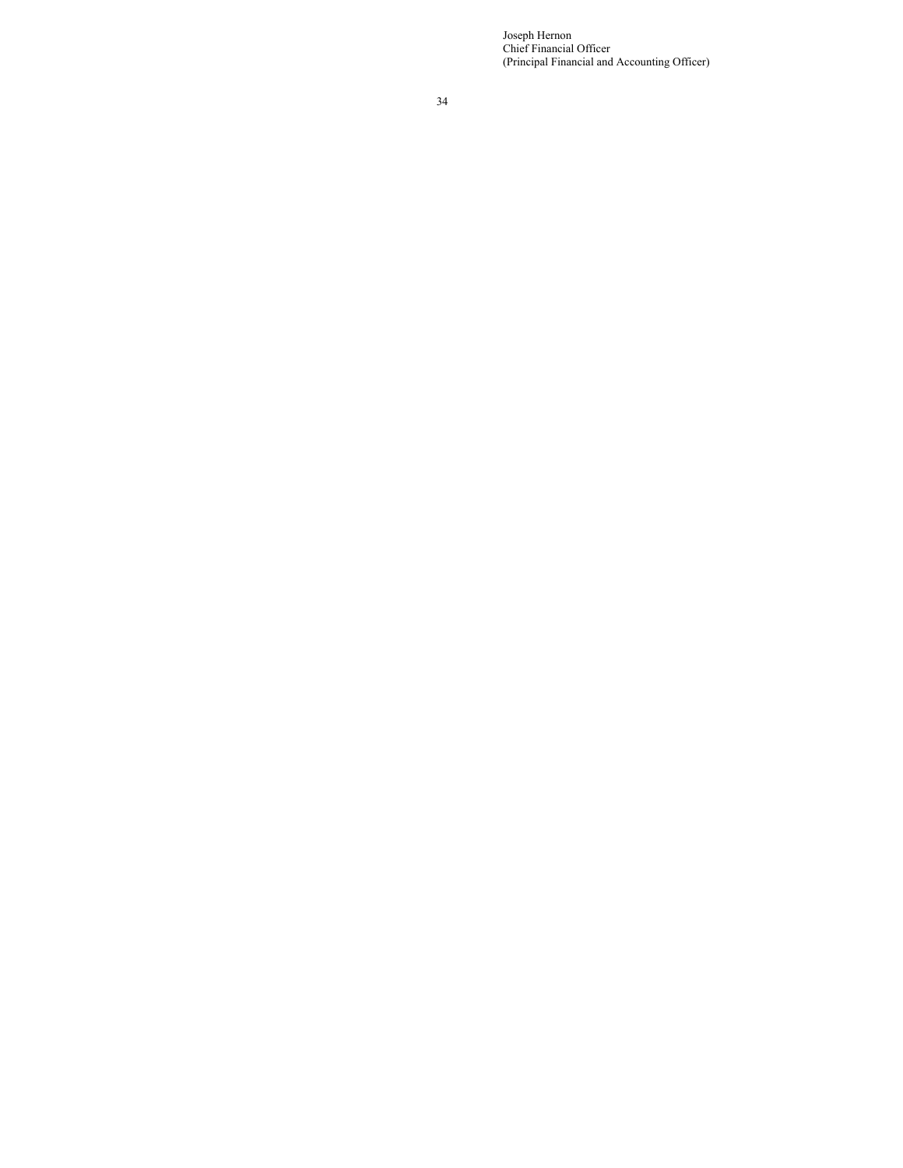Joseph Hernon Chief Financial Officer (Principal Financial and Accounting Officer)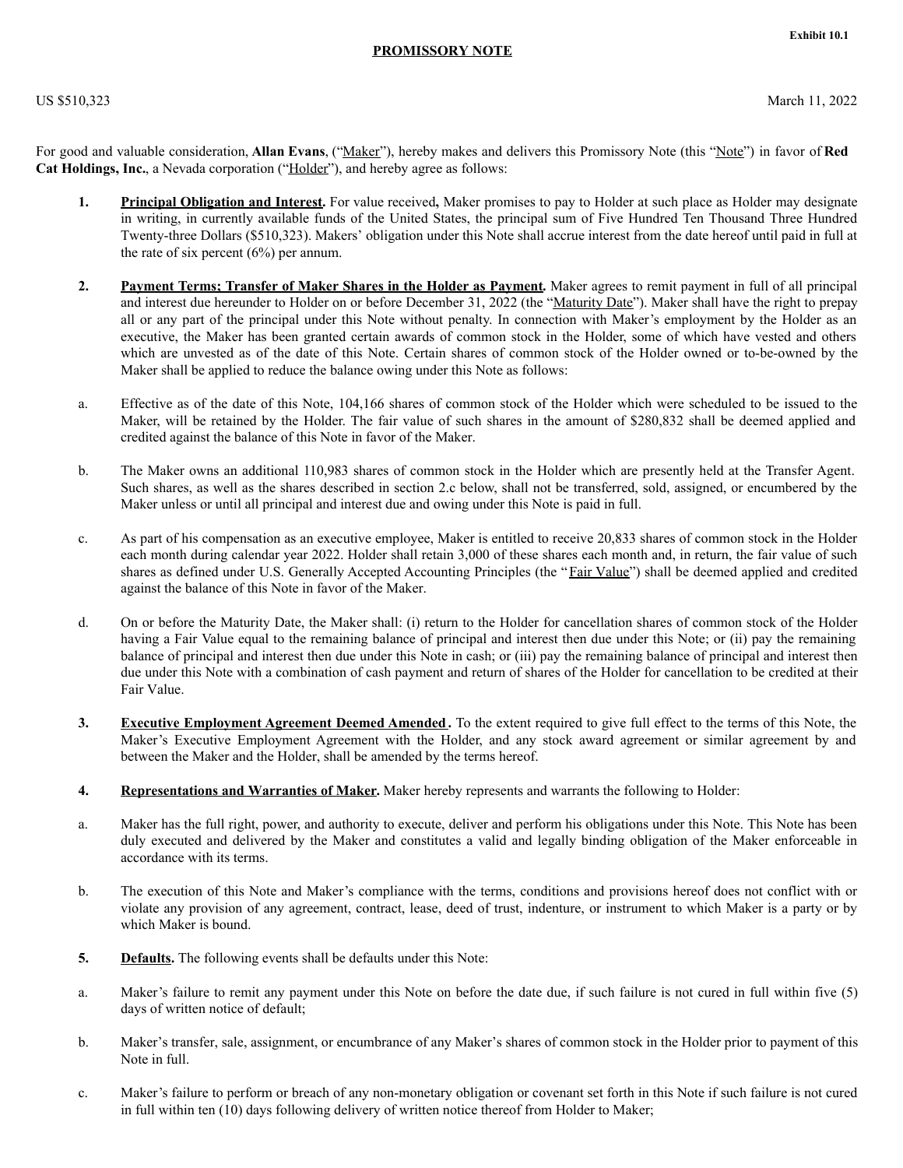# **PROMISSORY NOTE**

<span id="page-20-0"></span>For good and valuable consideration, **Allan Evans**, ("Maker"), hereby makes and delivers this Promissory Note (this "Note") in favor of **Red Cat Holdings, Inc.**, a Nevada corporation ("Holder"), and hereby agree as follows:

- **1. Principal Obligation and Interest.** For value received**,** Maker promises to pay to Holder at such place as Holder may designate in writing, in currently available funds of the United States, the principal sum of Five Hundred Ten Thousand Three Hundred Twenty-three Dollars (\$510,323). Makers' obligation under this Note shall accrue interest from the date hereof until paid in full at the rate of six percent  $(6\%)$  per annum.
- **2. Payment Terms; Transfer of Maker Shares in the Holder as Payment.** Maker agrees to remit payment in full of all principal and interest due hereunder to Holder on or before December 31, 2022 (the "Maturity Date"). Maker shall have the right to prepay all or any part of the principal under this Note without penalty. In connection with Maker's employment by the Holder as an executive, the Maker has been granted certain awards of common stock in the Holder, some of which have vested and others which are unvested as of the date of this Note. Certain shares of common stock of the Holder owned or to-be-owned by the Maker shall be applied to reduce the balance owing under this Note as follows:
- a. Effective as of the date of this Note, 104,166 shares of common stock of the Holder which were scheduled to be issued to the Maker, will be retained by the Holder. The fair value of such shares in the amount of \$280,832 shall be deemed applied and credited against the balance of this Note in favor of the Maker.
- b. The Maker owns an additional 110,983 shares of common stock in the Holder which are presently held at the Transfer Agent. Such shares, as well as the shares described in section 2.c below, shall not be transferred, sold, assigned, or encumbered by the Maker unless or until all principal and interest due and owing under this Note is paid in full.
- c. As part of his compensation as an executive employee, Maker is entitled to receive 20,833 shares of common stock in the Holder each month during calendar year 2022. Holder shall retain 3,000 of these shares each month and, in return, the fair value of such shares as defined under U.S. Generally Accepted Accounting Principles (the "Fair Value") shall be deemed applied and credited against the balance of this Note in favor of the Maker.
- d. On or before the Maturity Date, the Maker shall: (i) return to the Holder for cancellation shares of common stock of the Holder having a Fair Value equal to the remaining balance of principal and interest then due under this Note; or (ii) pay the remaining balance of principal and interest then due under this Note in cash; or (iii) pay the remaining balance of principal and interest then due under this Note with a combination of cash payment and return of shares of the Holder for cancellation to be credited at their Fair Value.
- **3. Executive Employment Agreement Deemed Amended .** To the extent required to give full effect to the terms of this Note, the Maker's Executive Employment Agreement with the Holder, and any stock award agreement or similar agreement by and between the Maker and the Holder, shall be amended by the terms hereof.
- **4. Representations and Warranties of Maker.** Maker hereby represents and warrants the following to Holder:
- a. Maker has the full right, power, and authority to execute, deliver and perform his obligations under this Note. This Note has been duly executed and delivered by the Maker and constitutes a valid and legally binding obligation of the Maker enforceable in accordance with its terms.
- b. The execution of this Note and Maker's compliance with the terms, conditions and provisions hereof does not conflict with or violate any provision of any agreement, contract, lease, deed of trust, indenture, or instrument to which Maker is a party or by which Maker is bound.
- **5. Defaults.** The following events shall be defaults under this Note:
- a. Maker's failure to remit any payment under this Note on before the date due, if such failure is not cured in full within five (5) days of written notice of default;
- b. Maker's transfer, sale, assignment, or encumbrance of any Maker's shares of common stock in the Holder prior to payment of this Note in full.
- c. Maker's failure to perform or breach of any non-monetary obligation or covenant set forth in this Note if such failure is not cured in full within ten (10) days following delivery of written notice thereof from Holder to Maker;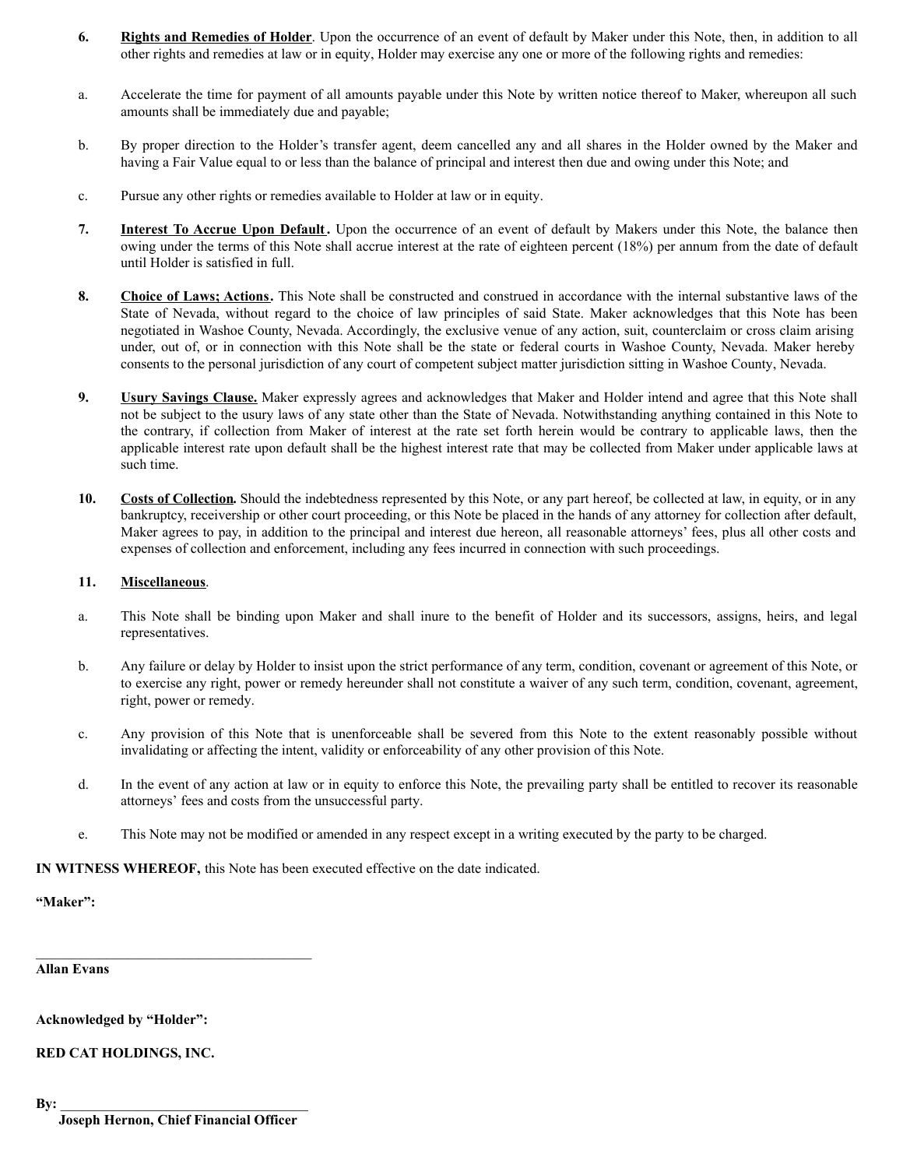- **6. Rights and Remedies of Holder**. Upon the occurrence of an event of default by Maker under this Note, then, in addition to all other rights and remedies at law or in equity, Holder may exercise any one or more of the following rights and remedies:
- a. Accelerate the time for payment of all amounts payable under this Note by written notice thereof to Maker, whereupon all such amounts shall be immediately due and payable;
- b. By proper direction to the Holder's transfer agent, deem cancelled any and all shares in the Holder owned by the Maker and having a Fair Value equal to or less than the balance of principal and interest then due and owing under this Note; and
- c. Pursue any other rights or remedies available to Holder at law or in equity.
- **7. Interest To Accrue Upon Default.** Upon the occurrence of an event of default by Makers under this Note, the balance then owing under the terms of this Note shall accrue interest at the rate of eighteen percent (18%) per annum from the date of default until Holder is satisfied in full.
- **8. Choice of Laws; Actions.** This Note shall be constructed and construed in accordance with the internal substantive laws of the State of Nevada, without regard to the choice of law principles of said State. Maker acknowledges that this Note has been negotiated in Washoe County, Nevada. Accordingly, the exclusive venue of any action, suit, counterclaim or cross claim arising under, out of, or in connection with this Note shall be the state or federal courts in Washoe County, Nevada. Maker hereby consents to the personal jurisdiction of any court of competent subject matter jurisdiction sitting in Washoe County, Nevada.
- **9. Usury Savings Clause.** Maker expressly agrees and acknowledges that Maker and Holder intend and agree that this Note shall not be subject to the usury laws of any state other than the State of Nevada. Notwithstanding anything contained in this Note to the contrary, if collection from Maker of interest at the rate set forth herein would be contrary to applicable laws, then the applicable interest rate upon default shall be the highest interest rate that may be collected from Maker under applicable laws at such time.
- **10. Costs of Collection.** Should the indebtedness represented by this Note, or any part hereof, be collected at law, in equity, or in any bankruptcy, receivership or other court proceeding, or this Note be placed in the hands of any attorney for collection after default, Maker agrees to pay, in addition to the principal and interest due hereon, all reasonable attorneys' fees, plus all other costs and expenses of collection and enforcement, including any fees incurred in connection with such proceedings.

# **11. Miscellaneous**.

- a. This Note shall be binding upon Maker and shall inure to the benefit of Holder and its successors, assigns, heirs, and legal representatives.
- b. Any failure or delay by Holder to insist upon the strict performance of any term, condition, covenant or agreement of this Note, or to exercise any right, power or remedy hereunder shall not constitute a waiver of any such term, condition, covenant, agreement, right, power or remedy.
- c. Any provision of this Note that is unenforceable shall be severed from this Note to the extent reasonably possible without invalidating or affecting the intent, validity or enforceability of any other provision of this Note.
- d. In the event of any action at law or in equity to enforce this Note, the prevailing party shall be entitled to recover its reasonable attorneys' fees and costs from the unsuccessful party.
- e. This Note may not be modified or amended in any respect except in a writing executed by the party to be charged.

**IN WITNESS WHEREOF,** this Note has been executed effective on the date indicated.

**"Maker":**

**Allan Evans**

**Acknowledged by "Holder":**

**RED CAT HOLDINGS, INC.**

 $\mathbf{B} \mathbf{y}$ :

**Joseph Hernon, Chief Financial Officer**

\_\_\_\_\_\_\_\_\_\_\_\_\_\_\_\_\_\_\_\_\_\_\_\_\_\_\_\_\_\_\_\_\_\_\_\_\_\_\_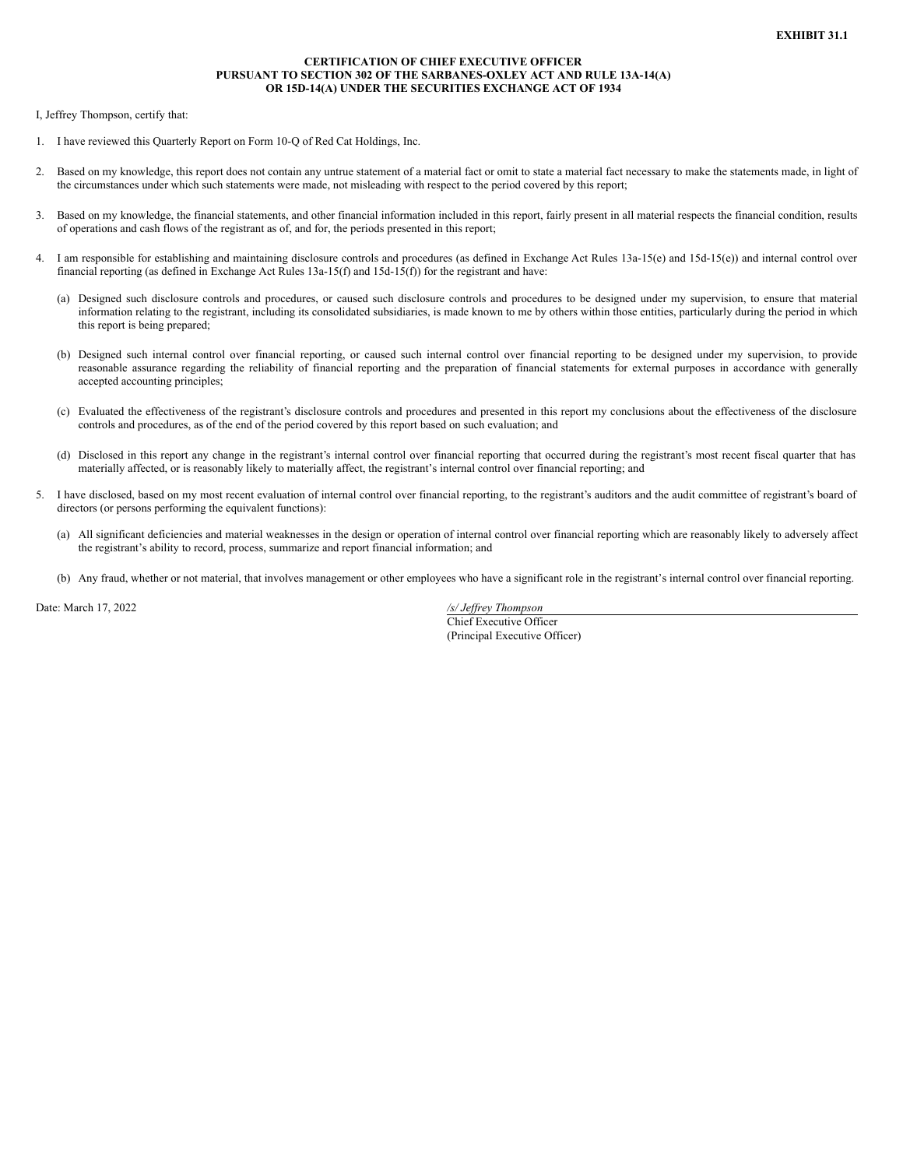## **CERTIFICATION OF CHIEF EXECUTIVE OFFICER PURSUANT TO SECTION 302 OF THE SARBANES-OXLEY ACT AND RULE 13A-14(A) OR 15D-14(A) UNDER THE SECURITIES EXCHANGE ACT OF 1934**

<span id="page-22-0"></span>I, Jeffrey Thompson, certify that:

- 1. I have reviewed this Quarterly Report on Form 10-Q of Red Cat Holdings, Inc.
- 2. Based on my knowledge, this report does not contain any untrue statement of a material fact or omit to state a material fact necessary to make the statements made, in light of the circumstances under which such statements were made, not misleading with respect to the period covered by this report;
- 3. Based on my knowledge, the financial statements, and other financial information included in this report, fairly present in all material respects the financial condition, results of operations and cash flows of the registrant as of, and for, the periods presented in this report;
- 4. I am responsible for establishing and maintaining disclosure controls and procedures (as defined in Exchange Act Rules 13a-15(e) and 15d-15(e)) and internal control over financial reporting (as defined in Exchange Act Rules 13a-15(f) and 15d-15(f)) for the registrant and have:
	- (a) Designed such disclosure controls and procedures, or caused such disclosure controls and procedures to be designed under my supervision, to ensure that material information relating to the registrant, including its consolidated subsidiaries, is made known to me by others within those entities, particularly during the period in which this report is being prepared;
	- (b) Designed such internal control over financial reporting, or caused such internal control over financial reporting to be designed under my supervision, to provide reasonable assurance regarding the reliability of financial reporting and the preparation of financial statements for external purposes in accordance with generally accepted accounting principles;
	- (c) Evaluated the effectiveness of the registrant's disclosure controls and procedures and presented in this report my conclusions about the effectiveness of the disclosure controls and procedures, as of the end of the period covered by this report based on such evaluation; and
	- (d) Disclosed in this report any change in the registrant's internal control over financial reporting that occurred during the registrant's most recent fiscal quarter that has materially affected, or is reasonably likely to materially affect, the registrant's internal control over financial reporting; and
- 5. I have disclosed, based on my most recent evaluation of internal control over financial reporting, to the registrant's auditors and the audit committee of registrant's board of directors (or persons performing the equivalent functions):
	- (a) All significant deficiencies and material weaknesses in the design or operation of internal control over financial reporting which are reasonably likely to adversely affect the registrant's ability to record, process, summarize and report financial information; and
	- (b) Any fraud, whether or not material, that involves management or other employees who have a significant role in the registrant's internal control over financial reporting.

Date: March 17, 2022 */s/ Jef rey Thompson*

Chief Executive Officer (Principal Executive Officer)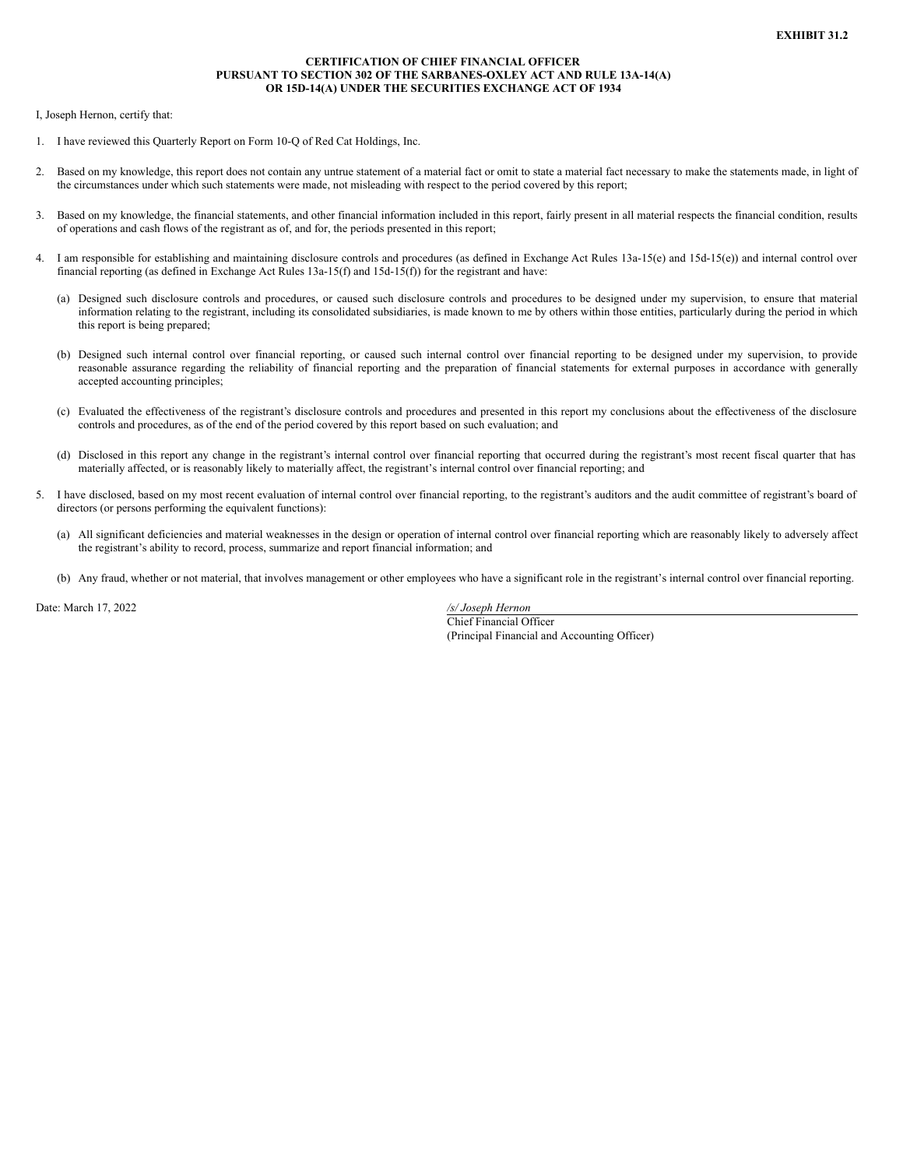## **CERTIFICATION OF CHIEF FINANCIAL OFFICER PURSUANT TO SECTION 302 OF THE SARBANES-OXLEY ACT AND RULE 13A-14(A) OR 15D-14(A) UNDER THE SECURITIES EXCHANGE ACT OF 1934**

<span id="page-23-0"></span>I, Joseph Hernon, certify that:

- 1. I have reviewed this Quarterly Report on Form 10-Q of Red Cat Holdings, Inc.
- 2. Based on my knowledge, this report does not contain any untrue statement of a material fact or omit to state a material fact necessary to make the statements made, in light of the circumstances under which such statements were made, not misleading with respect to the period covered by this report;
- 3. Based on my knowledge, the financial statements, and other financial information included in this report, fairly present in all material respects the financial condition, results of operations and cash flows of the registrant as of, and for, the periods presented in this report;
- 4. I am responsible for establishing and maintaining disclosure controls and procedures (as defined in Exchange Act Rules 13a-15(e) and 15d-15(e)) and internal control over financial reporting (as defined in Exchange Act Rules 13a-15(f) and 15d-15(f)) for the registrant and have:
	- (a) Designed such disclosure controls and procedures, or caused such disclosure controls and procedures to be designed under my supervision, to ensure that material information relating to the registrant, including its consolidated subsidiaries, is made known to me by others within those entities, particularly during the period in which this report is being prepared;
	- (b) Designed such internal control over financial reporting, or caused such internal control over financial reporting to be designed under my supervision, to provide reasonable assurance regarding the reliability of financial reporting and the preparation of financial statements for external purposes in accordance with generally accepted accounting principles;
	- (c) Evaluated the effectiveness of the registrant's disclosure controls and procedures and presented in this report my conclusions about the effectiveness of the disclosure controls and procedures, as of the end of the period covered by this report based on such evaluation; and
	- (d) Disclosed in this report any change in the registrant's internal control over financial reporting that occurred during the registrant's most recent fiscal quarter that has materially affected, or is reasonably likely to materially affect, the registrant's internal control over financial reporting; and
- 5. I have disclosed, based on my most recent evaluation of internal control over financial reporting, to the registrant's auditors and the audit committee of registrant's board of directors (or persons performing the equivalent functions):
	- (a) All significant deficiencies and material weaknesses in the design or operation of internal control over financial reporting which are reasonably likely to adversely affect the registrant's ability to record, process, summarize and report financial information; and
	- (b) Any fraud, whether or not material, that involves management or other employees who have a significant role in the registrant's internal control over financial reporting.

Date: March 17, 2022 */s/ Joseph Hernon*

Chief Financial Officer (Principal Financial and Accounting Officer)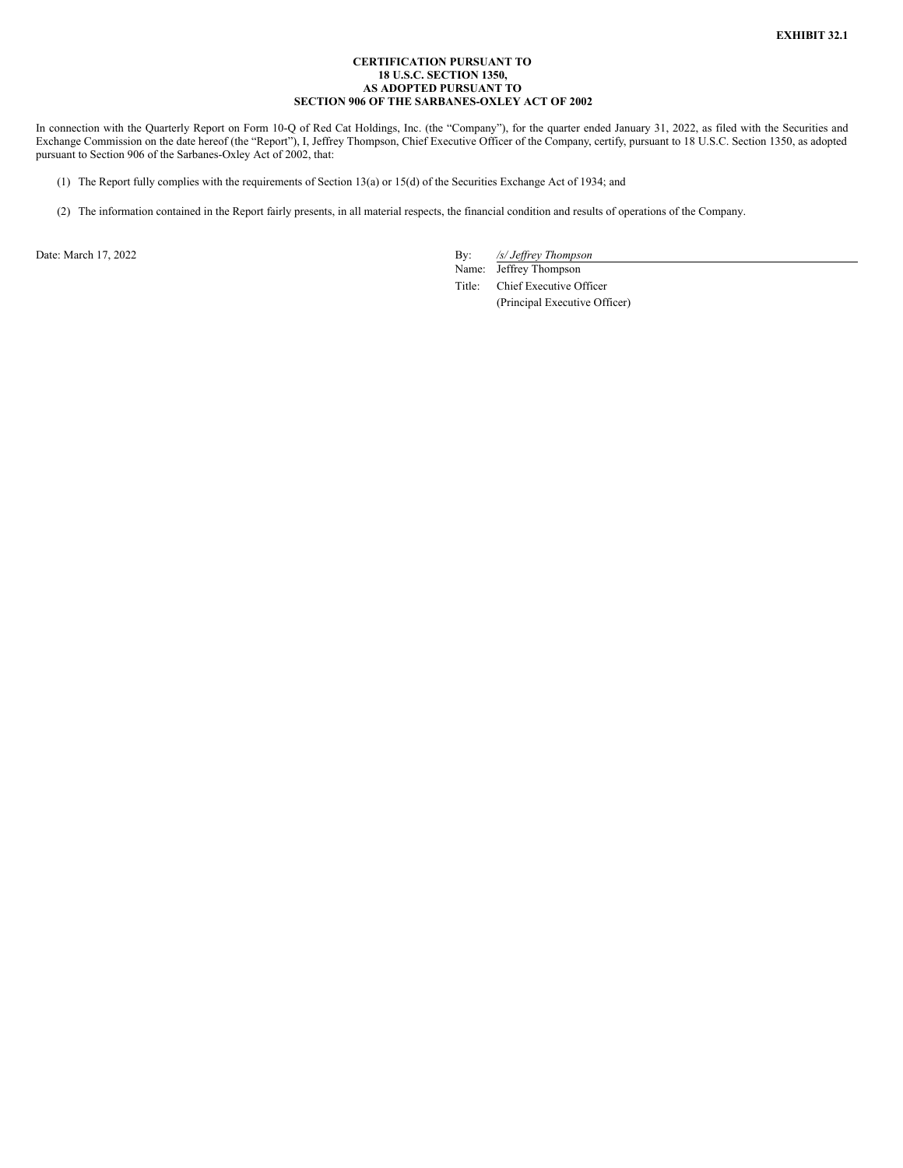### **CERTIFICATION PURSUANT TO 18 U.S.C. SECTION 1350, AS ADOPTED PURSUANT TO SECTION 906 OF THE SARBANES-OXLEY ACT OF 2002**

<span id="page-24-0"></span>In connection with the Quarterly Report on Form 10-Q of Red Cat Holdings, Inc. (the "Company"), for the quarter ended January 31, 2022, as filed with the Securities and Exchange Commission on the date hereof (the "Report"), I, Jeffrey Thompson, Chief Executive Officer of the Company, certify, pursuant to 18 U.S.C. Section 1350, as adopted pursuant to Section 906 of the Sarbanes-Oxley Act of 2002, that:

- (1) The Report fully complies with the requirements of Section 13(a) or 15(d) of the Securities Exchange Act of 1934; and
- (2) The information contained in the Report fairly presents, in all material respects, the financial condition and results of operations of the Company.

Date: March 17, 2022 By: */s/ Jeffrey Thompson* 

Name: Jeffrey Thompson Title: Chief Executive Officer (Principal Executive Officer)